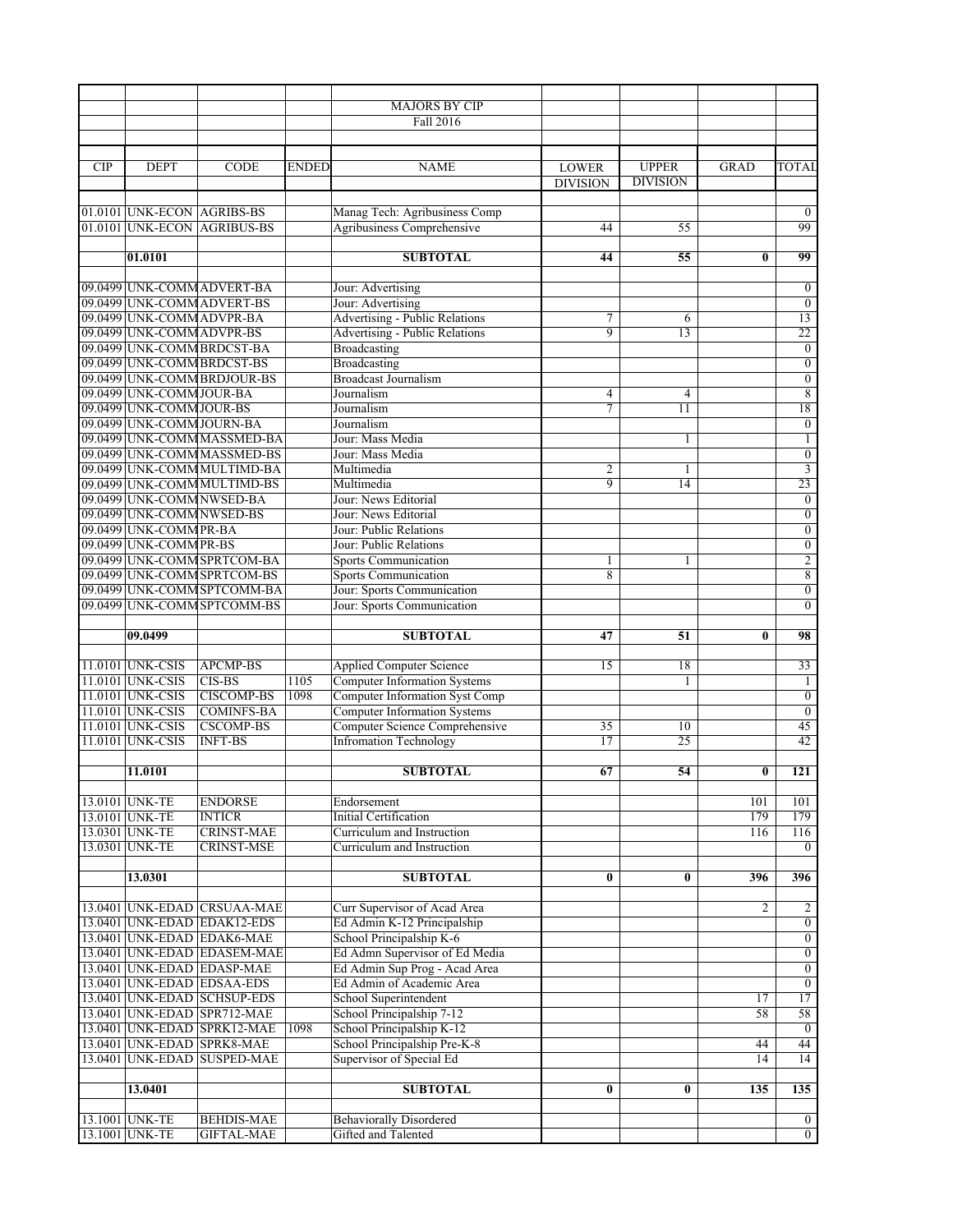|            |                                                        |                                                            |              | <b>MAJORS BY CIP</b>                                                         |                     |                 |              |                                    |
|------------|--------------------------------------------------------|------------------------------------------------------------|--------------|------------------------------------------------------------------------------|---------------------|-----------------|--------------|------------------------------------|
|            |                                                        |                                                            |              | <b>Fall 2016</b>                                                             |                     |                 |              |                                    |
|            |                                                        |                                                            |              |                                                                              |                     |                 |              |                                    |
|            |                                                        |                                                            |              |                                                                              |                     |                 |              |                                    |
| <b>CIP</b> | <b>DEPT</b>                                            | <b>CODE</b>                                                | <b>ENDED</b> | <b>NAME</b>                                                                  | <b>LOWER</b>        | <b>UPPER</b>    | GRAD         | <b>TOTAI</b>                       |
|            |                                                        |                                                            |              |                                                                              | <b>DIVISION</b>     | <b>DIVISION</b> |              |                                    |
|            |                                                        |                                                            |              |                                                                              |                     |                 |              |                                    |
|            | 01.0101 UNK-ECON AGRIBS-BS                             |                                                            |              | Manag Tech: Agribusiness Comp                                                |                     |                 |              | $\overline{0}$                     |
|            |                                                        | 01.0101 UNK-ECON AGRIBUS-BS                                |              | Agribusiness Comprehensive                                                   | 44                  | 55              |              | 99                                 |
|            |                                                        |                                                            |              |                                                                              |                     |                 |              |                                    |
|            | 01.0101                                                |                                                            |              | <b>SUBTOTAL</b>                                                              | 44                  | 55              | $\bf{0}$     | 99                                 |
|            |                                                        | 09.0499 UNK-COMM ADVERT-BA                                 |              |                                                                              |                     |                 |              |                                    |
|            |                                                        | 09.0499 UNK-COMM ADVERT-BS                                 |              | Jour: Advertising                                                            |                     |                 |              | $\mathbf{0}$                       |
|            |                                                        |                                                            |              | Jour: Advertising                                                            |                     |                 |              | $\boldsymbol{0}$<br>13             |
|            | 09.0499 UNK-COMM ADVPR-BA<br>09.0499 UNK-COMM ADVPR-BS |                                                            |              | <b>Advertising - Public Relations</b>                                        | 7<br>9              | 6<br>13         |              | 22                                 |
|            |                                                        | 09.0499 UNK-COMM BRDCST-BA                                 |              | <b>Advertising - Public Relations</b>                                        |                     |                 |              | $\overline{0}$                     |
|            | 09.0499 UNK-COMM BRDCST-BS                             |                                                            |              | <b>Broadcasting</b><br><b>Broadcasting</b>                                   |                     |                 |              | $\overline{0}$                     |
|            |                                                        | 09.0499 UNK-COMM BRDJOUR-BS                                |              | <b>Broadcast Journalism</b>                                                  |                     |                 |              | $\boldsymbol{0}$                   |
|            | 09.0499 UNK-COMM JOUR-BA                               |                                                            |              | Journalism                                                                   | $\overline{4}$      | 4               |              | $\overline{8}$                     |
|            | 09.0499 UNK-COMM JOUR-BS                               |                                                            |              | Journalism                                                                   | $\tau$              | 11              |              | 18                                 |
|            | 09.0499 UNK-COMM JOURN-BA                              |                                                            |              |                                                                              |                     |                 |              |                                    |
|            |                                                        |                                                            |              | Journalism<br>Jour: Mass Media                                               |                     |                 |              | $\boldsymbol{0}$                   |
|            |                                                        | 09.0499 UNK-COMM MASSMED-BA<br>09.0499 UNK-COMM MASSMED-BS |              | Jour: Mass Media                                                             |                     | 1               |              | $\mathbf{1}$                       |
|            |                                                        |                                                            |              | Multimedia                                                                   |                     |                 |              | $\overline{0}$                     |
|            |                                                        | 09.0499 UNK-COMM MULTIMD-BA                                |              |                                                                              | 2<br>$\overline{9}$ | 1               |              | $\overline{\mathbf{3}}$<br>23      |
|            |                                                        | 09.0499 UNK-COMM MULTIMD-BS                                |              | Multimedia                                                                   |                     | 14              |              |                                    |
|            | 09.0499 UNK-COMM NWSED-BA                              |                                                            |              | Jour: News Editorial                                                         |                     |                 |              | $\boldsymbol{0}$                   |
|            | 09.0499 UNK-COMM NWSED-BS                              |                                                            |              | Jour: News Editorial<br>Jour: Public Relations                               |                     |                 |              | $\overline{0}$                     |
|            | 09.0499 UNK-COMM PR-BA                                 |                                                            |              |                                                                              |                     |                 |              | $\boldsymbol{0}$                   |
|            | 09.0499 UNK-COMM PR-BS                                 |                                                            |              | Jour: Public Relations                                                       |                     |                 |              | $\overline{0}$                     |
|            |                                                        | 09.0499 UNK-COMM SPRTCOM-BA                                |              | <b>Sports Communication</b>                                                  | 1                   | 1               |              | $\overline{2}$                     |
|            |                                                        | 09.0499 UNK-COMM SPRTCOM-BS                                |              | <b>Sports Communication</b>                                                  | 8                   |                 |              | $\overline{8}$                     |
|            |                                                        | 09.0499 UNK-COMM SPTCOMM-BA                                |              | Jour: Sports Communication                                                   |                     |                 |              | $\overline{0}$                     |
|            |                                                        | 09.0499 UNK-COMM SPTCOMM-BS                                |              | Jour: Sports Communication                                                   |                     |                 |              | $\overline{0}$                     |
|            |                                                        |                                                            |              |                                                                              |                     |                 |              |                                    |
|            | 09.0499                                                |                                                            |              | <b>SUBTOTAL</b>                                                              | 47                  | 51              | $\mathbf{0}$ | 98                                 |
|            |                                                        |                                                            |              |                                                                              |                     |                 |              |                                    |
|            | 11.0101 UNK-CSIS                                       | <b>APCMP-BS</b>                                            |              | <b>Applied Computer Science</b>                                              | 15                  | 18              |              | 33                                 |
|            | 11.0101 UNK-CSIS<br>11.0101 UNK-CSIS                   | CIS-BS<br><b>CISCOMP-BS</b>                                | 1105<br>1098 | <b>Computer Information Systems</b><br><b>Computer Information Syst Comp</b> |                     | 1               |              | 1                                  |
|            | 11.0101 UNK-CSIS                                       | <b>COMINFS-BA</b>                                          |              | <b>Computer Information Systems</b>                                          |                     |                 |              | $\boldsymbol{0}$<br>$\overline{0}$ |
|            | 11.0101 UNK-CSIS                                       | <b>CSCOMP-BS</b>                                           |              | Computer Science Comprehensive                                               | 35                  | 10              |              | 45                                 |
|            | 11.0101 UNK-CSIS                                       | <b>INFT-BS</b>                                             |              | <b>Infromation Technology</b>                                                | 17                  | 25              |              | 42                                 |
|            |                                                        |                                                            |              |                                                                              |                     |                 |              |                                    |
|            | 11.0101                                                |                                                            |              | <b>SUBTOTAL</b>                                                              | 67                  | 54              | $\bf{0}$     | 121                                |
|            |                                                        |                                                            |              |                                                                              |                     |                 |              |                                    |
|            | 13.0101 UNK-TE                                         | <b>ENDORSE</b>                                             |              | Endorsement                                                                  |                     |                 | 101          | 101                                |
|            | 13.0101 UNK-TE                                         | <b>INTICR</b>                                              |              | <b>Initial Certification</b>                                                 |                     |                 | 179          | 179                                |
|            | 13.0301 UNK-TE                                         | <b>CRINST-MAE</b>                                          |              | Curriculum and Instruction                                                   |                     |                 | 116          | 116                                |
|            | 13.0301 UNK-TE                                         | <b>CRINST-MSE</b>                                          |              | Curriculum and Instruction                                                   |                     |                 |              | $\overline{0}$                     |
|            |                                                        |                                                            |              |                                                                              |                     |                 |              |                                    |
|            | 13.0301                                                |                                                            |              | <b>SUBTOTAL</b>                                                              | $\bf{0}$            | 0               | 396          | 396                                |
|            |                                                        |                                                            |              |                                                                              |                     |                 |              |                                    |
|            |                                                        | 13.0401 UNK-EDAD CRSUAA-MAE                                |              | Curr Supervisor of Acad Area                                                 |                     |                 | 2            | $\overline{c}$                     |
|            |                                                        | 13.0401 UNK-EDAD EDAK12-EDS                                |              | Ed Admin K-12 Principalship                                                  |                     |                 |              | $\overline{0}$                     |
|            |                                                        | 13.0401 UNK-EDAD EDAK6-MAE                                 |              | School Principalship K-6                                                     |                     |                 |              | $\overline{0}$                     |
|            |                                                        | 13.0401 UNK-EDAD EDASEM-MAE                                |              | Ed Admn Supervisor of Ed Media                                               |                     |                 |              | $\overline{0}$                     |
|            |                                                        | 13.0401 UNK-EDAD EDASP-MAE                                 |              | Ed Admin Sup Prog - Acad Area                                                |                     |                 |              | $\overline{0}$                     |
|            |                                                        | 13.0401 UNK-EDAD EDSAA-EDS                                 |              | Ed Admin of Academic Area                                                    |                     |                 |              | $\overline{0}$                     |
|            |                                                        | 13.0401 UNK-EDAD SCHSUP-EDS                                |              | School Superintendent                                                        |                     |                 | 17           | 17                                 |
|            |                                                        | 13.0401 UNK-EDAD SPR712-MAE                                |              | School Principalship 7-12                                                    |                     |                 | 58           | 58                                 |
|            |                                                        | 13.0401 UNK-EDAD SPRK12-MAE                                | 1098         | School Principalship K-12                                                    |                     |                 |              | $\overline{0}$                     |
|            |                                                        | 13.0401 UNK-EDAD SPRK8-MAE                                 |              | School Principalship Pre-K-8                                                 |                     |                 | 44           | 44                                 |
|            |                                                        | 13.0401 UNK-EDAD SUSPED-MAE                                |              | Supervisor of Special Ed                                                     |                     |                 | 14           | 14                                 |
|            |                                                        |                                                            |              |                                                                              |                     |                 |              |                                    |
|            | 13.0401                                                |                                                            |              | <b>SUBTOTAL</b>                                                              | $\bf{0}$            | $\bf{0}$        | 135          | 135                                |
|            |                                                        |                                                            |              |                                                                              |                     |                 |              |                                    |
|            | 13.1001 UNK-TE                                         | <b>BEHDIS-MAE</b>                                          |              | <b>Behaviorally Disordered</b>                                               |                     |                 |              | $\overline{0}$                     |
|            | 13.1001 UNK-TE                                         | <b>GIFTAL-MAE</b>                                          |              | Gifted and Talented                                                          |                     |                 |              | $\overline{0}$                     |
|            |                                                        |                                                            |              |                                                                              |                     |                 |              |                                    |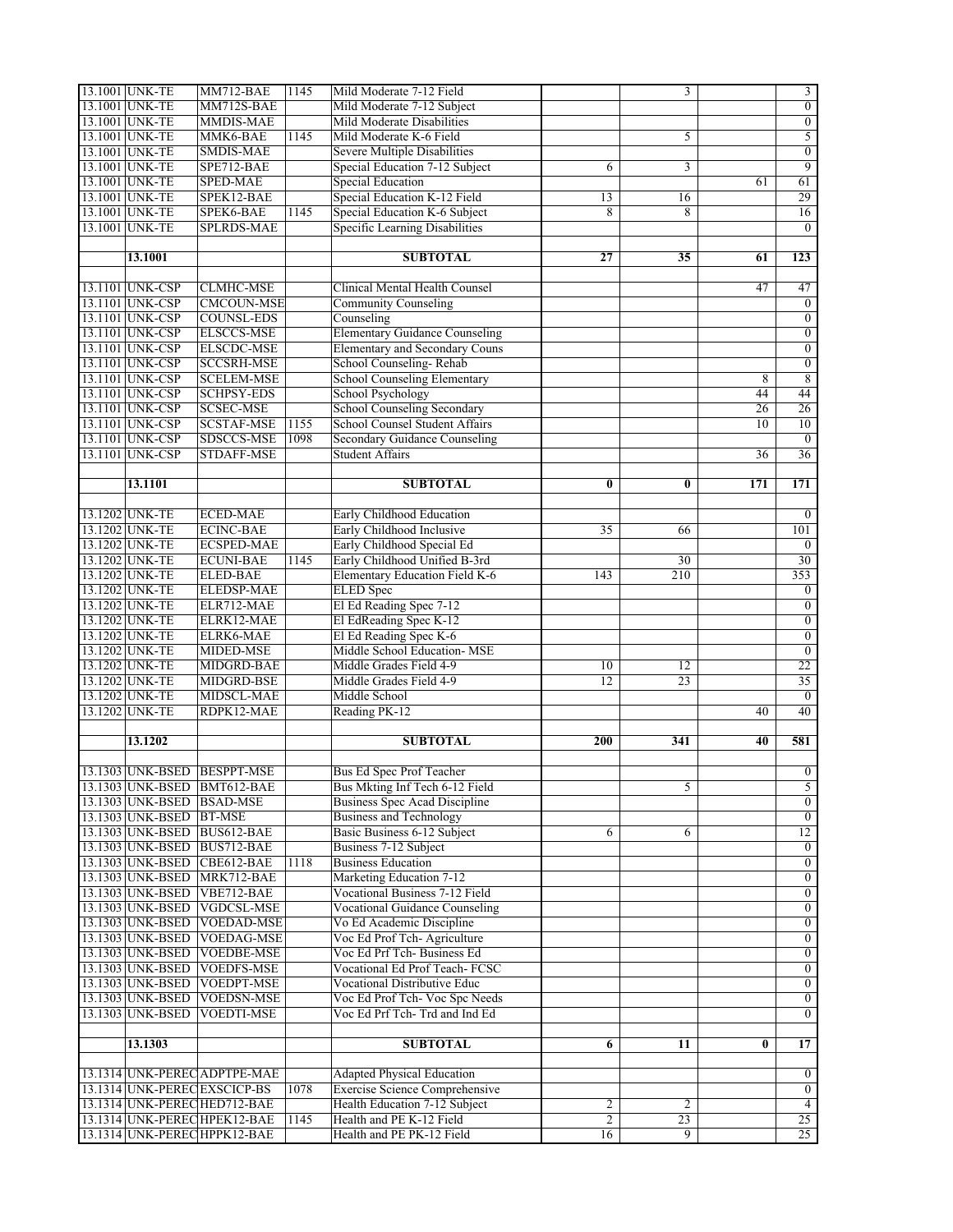| 13.1001 UNK-TE            | MM712-BAE                                                    | 1145 | Mild Moderate 7-12 Field                              |                      | $\overline{3}$                    |          | $\overline{3}$   |
|---------------------------|--------------------------------------------------------------|------|-------------------------------------------------------|----------------------|-----------------------------------|----------|------------------|
| 13.1001 UNK-TE            | MM712S-BAE                                                   |      | Mild Moderate 7-12 Subject                            |                      |                                   |          | $\overline{0}$   |
| 13.1001 UNK-TE            | MMDIS-MAE                                                    |      | Mild Moderate Disabilities                            |                      |                                   |          | $\overline{0}$   |
| 13.1001 UNK-TE            | MMK6-BAE                                                     | 1145 | Mild Moderate K-6 Field                               |                      | 5                                 |          | 5                |
| 13.1001 UNK-TE            | <b>SMDIS-MAE</b>                                             |      | Severe Multiple Disabilities                          |                      |                                   |          | $\boldsymbol{0}$ |
| 13.1001 UNK-TE            | SPE712-BAE                                                   |      | Special Education 7-12 Subject                        | 6                    | $\overline{3}$                    |          | $\overline{9}$   |
| 13.1001 UNK-TE            | <b>SPED-MAE</b>                                              |      | Special Education                                     |                      |                                   | 61       | 61               |
| 13.1001 UNK-TE            | SPEK12-BAE                                                   |      | Special Education K-12 Field                          | 13                   | 16                                |          | 29               |
| 13.1001 UNK-TE            | SPEK6-BAE                                                    | 1145 | Special Education K-6 Subject                         | 8                    | 8                                 |          | 16               |
| 13.1001 UNK-TE            | <b>SPLRDS-MAE</b>                                            |      | <b>Specific Learning Disabilities</b>                 |                      |                                   |          | $\theta$         |
|                           |                                                              |      |                                                       |                      |                                   |          |                  |
| 13.1001                   |                                                              |      | <b>SUBTOTAL</b>                                       | 27                   | $\overline{35}$                   | 61       | 123              |
|                           |                                                              |      |                                                       |                      |                                   |          |                  |
| 13.1101 UNK-CSP           | <b>CLMHC-MSE</b>                                             |      | Clinical Mental Health Counsel                        |                      |                                   | 47       | 47               |
| 13.1101 UNK-CSP           | <b>CMCOUN-MSE</b>                                            |      | <b>Community Counseling</b>                           |                      |                                   |          | $\overline{0}$   |
| 13.1101 UNK-CSP           | <b>COUNSL-EDS</b>                                            |      | Counseling                                            |                      |                                   |          | $\overline{0}$   |
| 13.1101 UNK-CSP           | <b>ELSCCS-MSE</b>                                            |      | <b>Elementary Guidance Counseling</b>                 |                      |                                   |          | $\boldsymbol{0}$ |
| 13.1101 UNK-CSP           | <b>ELSCDC-MSE</b>                                            |      | Elementary and Secondary Couns                        |                      |                                   |          | $\overline{0}$   |
| 13.1101 UNK-CSP           | <b>SCCSRH-MSE</b>                                            |      | School Counseling-Rehab                               |                      |                                   |          | $\overline{0}$   |
| 13.1101 UNK-CSP           | <b>SCELEM-MSE</b>                                            |      | <b>School Counseling Elementary</b>                   |                      |                                   | 8        | $\overline{8}$   |
| 13.1101 UNK-CSP           | <b>SCHPSY-EDS</b>                                            |      | <b>School Psychology</b>                              |                      |                                   | 44       | 44               |
| 13.1101 UNK-CSP           | <b>SCSEC-MSE</b>                                             |      | School Counseling Secondary                           |                      |                                   | 26       | 26               |
| 13.1101 UNK-CSP           | <b>SCSTAF-MSE</b>                                            | 1155 | School Counsel Student Affairs                        |                      |                                   | 10       | 10               |
| 13.1101 UNK-CSP           | <b>SDSCCS-MSE</b>                                            | 1098 | <b>Secondary Guidance Counseling</b>                  |                      |                                   |          | $\overline{0}$   |
| 13.1101 UNK-CSP           | <b>STDAFF-MSE</b>                                            |      | <b>Student Affairs</b>                                |                      |                                   | 36       | 36               |
|                           |                                                              |      |                                                       |                      |                                   |          |                  |
| 13.1101                   |                                                              |      | <b>SUBTOTAL</b>                                       | $\bf{0}$             | $\bf{0}$                          | 171      | 171              |
|                           |                                                              |      |                                                       |                      |                                   |          |                  |
| 13.1202 UNK-TE            | <b>ECED-MAE</b>                                              |      | Early Childhood Education                             |                      |                                   |          | $\boldsymbol{0}$ |
| 13.1202 UNK-TE            | <b>ECINC-BAE</b>                                             |      | Early Childhood Inclusive                             | $\overline{35}$      | 66                                |          | 101              |
| 13.1202 UNK-TE            | <b>ECSPED-MAE</b>                                            |      | Early Childhood Special Ed                            |                      |                                   |          | $\boldsymbol{0}$ |
| 13.1202 UNK-TE            | <b>ECUNI-BAE</b>                                             | 1145 | Early Childhood Unified B-3rd                         |                      | 30                                |          | 30               |
| 13.1202 UNK-TE            | <b>ELED-BAE</b>                                              |      | Elementary Education Field K-6                        | 143                  | 210                               |          | 353              |
| 13.1202 UNK-TE            | <b>ELEDSP-MAE</b>                                            |      | <b>ELED</b> Spec                                      |                      |                                   |          | $\boldsymbol{0}$ |
| 13.1202 UNK-TE            | ELR712-MAE                                                   |      | El Ed Reading Spec 7-12                               |                      |                                   |          | $\boldsymbol{0}$ |
| 13.1202 UNK-TE            | ELRK12-MAE                                                   |      | El EdReading Spec K-12                                |                      |                                   |          |                  |
|                           |                                                              |      |                                                       |                      |                                   |          |                  |
|                           |                                                              |      |                                                       |                      |                                   |          | $\boldsymbol{0}$ |
| 13.1202 UNK-TE            | ELRK6-MAE                                                    |      | El Ed Reading Spec K-6                                |                      |                                   |          | $\overline{0}$   |
| 13.1202 UNK-TE            | MIDED-MSE                                                    |      | Middle School Education- MSE                          |                      |                                   |          | $\overline{0}$   |
| 13.1202 UNK-TE            | MIDGRD-BAE                                                   |      | Middle Grades Field 4-9                               | 10                   | 12                                |          | 22               |
| 13.1202 UNK-TE            | MIDGRD-BSE                                                   |      | Middle Grades Field 4-9                               | 12                   | 23                                |          | 35               |
| 13.1202 UNK-TE            | MIDSCL-MAE                                                   |      | Middle School                                         |                      |                                   |          | $\overline{0}$   |
| 13.1202 UNK-TE            | RDPK12-MAE                                                   |      | Reading PK-12                                         |                      |                                   | 40       | 40               |
| 13.1202                   |                                                              |      | <b>SUBTOTAL</b>                                       | 200                  | 341                               | 40       | 581              |
|                           |                                                              |      |                                                       |                      |                                   |          |                  |
|                           | 13.1303 UNK-BSED BESPPT-MSE                                  |      | Bus Ed Spec Prof Teacher                              |                      |                                   |          | $\overline{0}$   |
|                           | 13.1303 UNK-BSED BMT612-BAE                                  |      | Bus Mkting Inf Tech 6-12 Field                        |                      | 5                                 |          | 5 <sup>5</sup>   |
| 13.1303 UNK-BSED BSAD-MSE |                                                              |      | <b>Business Spec Acad Discipline</b>                  |                      |                                   |          | $\overline{0}$   |
| 13.1303 UNK-BSED BT-MSE   |                                                              |      | <b>Business and Technology</b>                        |                      |                                   |          | $\overline{0}$   |
|                           | 13.1303 UNK-BSED BUS612-BAE                                  |      | Basic Business 6-12 Subject                           | 6                    | 6                                 |          | 12               |
|                           | 13.1303 UNK-BSED BUS712-BAE                                  |      | Business 7-12 Subject                                 |                      |                                   |          | $\boldsymbol{0}$ |
|                           | 13.1303 UNK-BSED CBE612-BAE                                  | 1118 | <b>Business Education</b>                             |                      |                                   |          | $\overline{0}$   |
|                           | 13.1303 UNK-BSED MRK712-BAE                                  |      | Marketing Education 7-12                              |                      |                                   |          | $\overline{0}$   |
| 13.1303 UNK-BSED          | VBE712-BAE                                                   |      | Vocational Business 7-12 Field                        |                      |                                   |          | $\overline{0}$   |
|                           | 13.1303 UNK-BSED VGDCSL-MSE                                  |      | <b>Vocational Guidance Counseling</b>                 |                      |                                   |          | $\boldsymbol{0}$ |
|                           | 13.1303 UNK-BSED VOEDAD-MSE                                  |      | Vo Ed Academic Discipline                             |                      |                                   |          | $\overline{0}$   |
| 13.1303 UNK-BSED          | <b>VOEDAG-MSE</b>                                            |      | Voc Ed Prof Tch-Agriculture                           |                      |                                   |          | $\overline{0}$   |
|                           |                                                              |      | Voc Ed Prf Tch-Business Ed                            |                      |                                   |          | $\overline{0}$   |
|                           | 13.1303 UNK-BSED VOEDBE-MSE                                  |      |                                                       |                      |                                   |          |                  |
| 13.1303 UNK-BSED          | <b>VOEDFS-MSE</b>                                            |      | Vocational Ed Prof Teach-FCSC                         |                      |                                   |          | $\boldsymbol{0}$ |
| 13.1303 UNK-BSED          | VOEDPT-MSE                                                   |      | Vocational Distributive Educ                          |                      |                                   |          | $\boldsymbol{0}$ |
| 13.1303 UNK-BSED          | <b>VOEDSN-MSE</b>                                            |      | Voc Ed Prof Tch- Voc Spc Needs                        |                      |                                   |          | $\overline{0}$   |
| 13.1303 UNK-BSED          | <b>VOEDTI-MSE</b>                                            |      | Voc Ed Prf Tch-Trd and Ind Ed                         |                      |                                   |          | $\theta$         |
|                           |                                                              |      |                                                       |                      |                                   |          |                  |
| 13.1303                   |                                                              |      | <b>SUBTOTAL</b>                                       | 6                    | 11                                | $\bf{0}$ | 17               |
|                           |                                                              |      |                                                       |                      |                                   |          |                  |
|                           | 13.1314 UNK-PEREC ADPTPE-MAE                                 |      | <b>Adapted Physical Education</b>                     |                      |                                   |          | $\overline{0}$   |
|                           | 13.1314 UNK-PEREC EXSCICP-BS                                 | 1078 | Exercise Science Comprehensive                        |                      |                                   |          | $\overline{0}$   |
|                           | 13.1314 UNK-PEREC HED712-BAE                                 |      | Health Education 7-12 Subject                         | $\overline{2}$       | $\overline{2}$                    |          | $\overline{4}$   |
|                           | 13.1314 UNK-PEREC HPEK12-BAE<br>13.1314 UNK-PEREC HPPK12-BAE | 1145 | Health and PE K-12 Field<br>Health and PE PK-12 Field | $\overline{2}$<br>16 | $\overline{23}$<br>$\overline{9}$ |          | 25<br>25         |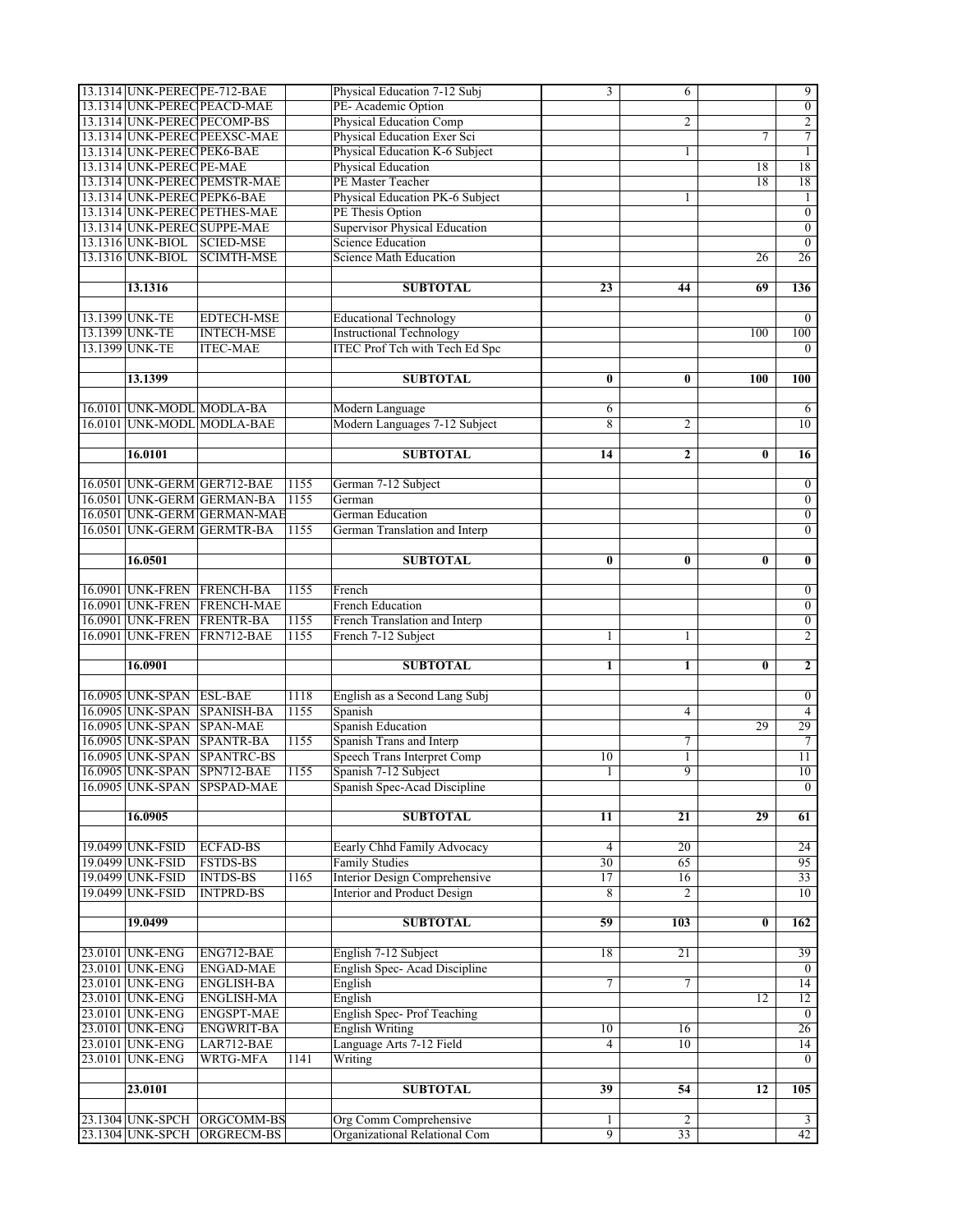| 13.1314 UNK-PEREC PE-712-BAE         |                              |      | Physical Education 7-12 Subj                            | 3                   | 6                    |          | 9                             |
|--------------------------------------|------------------------------|------|---------------------------------------------------------|---------------------|----------------------|----------|-------------------------------|
|                                      | 13.1314 UNK-PEREC PEACD-MAE  |      | PE-Academic Option                                      |                     |                      |          | $\boldsymbol{0}$              |
|                                      | 13.1314 UNK-PEREC PECOMP-BS  |      | <b>Physical Education Comp</b>                          |                     | 2                    |          | $\overline{c}$                |
|                                      | 13.1314 UNK-PEREC PEEXSC-MAE |      | Physical Education Exer Sci                             |                     |                      | 7        | 7                             |
| 13.1314 UNK-PEREC PEK6-BAE           |                              |      | Physical Education K-6 Subject                          |                     | 1                    |          | $\mathbf{1}$                  |
| 13.1314 UNK-PEREC PE-MAE             |                              |      | <b>Physical Education</b>                               |                     |                      | 18       | 18                            |
|                                      | 13.1314 UNK-PEREC PEMSTR-MAE |      | PE Master Teacher                                       |                     |                      | 18       | 18                            |
| 13.1314 UNK-PEREC PEPK6-BAE          |                              |      | Physical Education PK-6 Subject                         |                     | 1                    |          | 1                             |
|                                      | 13.1314 UNK-PEREC PETHES-MAE |      | PE Thesis Option                                        |                     |                      |          | $\overline{0}$                |
|                                      | 13.1314 UNK-PEREC SUPPE-MAE  |      | Supervisor Physical Education                           |                     |                      |          | $\boldsymbol{0}$              |
|                                      |                              |      | <b>Science Education</b>                                |                     |                      |          | $\overline{0}$                |
| 13.1316 UNK-BIOL SCIED-MSE           |                              |      |                                                         |                     |                      |          |                               |
| 13.1316 UNK-BIOL                     | <b>SCIMTH-MSE</b>            |      | <b>Science Math Education</b>                           |                     |                      | 26       | 26                            |
|                                      |                              |      |                                                         |                     |                      |          |                               |
| 13.1316                              |                              |      | <b>SUBTOTAL</b>                                         | 23                  | 44                   | 69       | 136                           |
|                                      |                              |      |                                                         |                     |                      |          |                               |
| 13.1399 UNK-TE                       | <b>EDTECH-MSE</b>            |      | <b>Educational Technology</b>                           |                     |                      |          | $\boldsymbol{0}$              |
| 13.1399 UNK-TE                       | <b>INTECH-MSE</b>            |      | <b>Instructional Technology</b>                         |                     |                      | 100      | 100                           |
| 13.1399 UNK-TE                       | <b>ITEC-MAE</b>              |      | <b>ITEC Prof Tch with Tech Ed Spc</b>                   |                     |                      |          | $\mathbf{0}$                  |
|                                      |                              |      |                                                         |                     |                      |          |                               |
| 13.1399                              |                              |      | <b>SUBTOTAL</b>                                         | 0                   | $\bf{0}$             | 100      | <b>100</b>                    |
|                                      |                              |      |                                                         |                     |                      |          |                               |
| 16.0101 UNK-MODL MODLA-BA            |                              |      | Modern Language                                         | 6                   |                      |          | 6                             |
|                                      | 16.0101 UNK-MODL MODLA-BAE   |      | Modern Languages 7-12 Subject                           | 8                   | $\overline{c}$       |          | 10                            |
|                                      |                              |      |                                                         |                     |                      |          |                               |
| 16.0101                              |                              |      | <b>SUBTOTAL</b>                                         | 14                  | $\overline{2}$       | $\bf{0}$ | $\overline{16}$               |
|                                      |                              |      |                                                         |                     |                      |          |                               |
|                                      | 16.0501 UNK-GERM GER712-BAE  | 1155 | German 7-12 Subject                                     |                     |                      |          | $\boldsymbol{0}$              |
|                                      | 16.0501 UNK-GERM GERMAN-BA   | 1155 | German                                                  |                     |                      |          | $\boldsymbol{0}$              |
|                                      | 16.0501 UNK-GERM GERMAN-MAE  |      | <b>German Education</b>                                 |                     |                      |          | $\boldsymbol{0}$              |
|                                      |                              |      |                                                         |                     |                      |          |                               |
|                                      | 16.0501 UNK-GERM GERMTR-BA   | 1155 | German Translation and Interp                           |                     |                      |          | $\overline{0}$                |
|                                      |                              |      |                                                         |                     |                      |          |                               |
| 16.0501                              |                              |      | <b>SUBTOTAL</b>                                         | $\bf{0}$            | $\bf{0}$             | $\bf{0}$ | 0                             |
|                                      |                              |      |                                                         |                     |                      |          |                               |
| 16.0901 UNK-FREN                     | <b>FRENCH-BA</b>             | 1155 | French                                                  |                     |                      |          | $\boldsymbol{0}$              |
|                                      | 16.0901 UNK-FREN FRENCH-MAE  |      | <b>French Education</b>                                 |                     |                      |          | $\boldsymbol{0}$              |
| 16.0901 UNK-FREN                     | <b>FRENTR-BA</b>             | 1155 | French Translation and Interp                           |                     |                      |          | $\boldsymbol{0}$              |
|                                      |                              |      |                                                         |                     |                      |          |                               |
| 16.0901 UNK-FREN                     | FRN712-BAE                   | 1155 | French 7-12 Subject                                     | 1                   | 1                    |          | $\overline{2}$                |
|                                      |                              |      |                                                         |                     |                      |          |                               |
| 16.0901                              |                              |      | <b>SUBTOTAL</b>                                         | $\mathbf{1}$        | 1                    | 0        | $\mathbf{2}$                  |
|                                      |                              |      |                                                         |                     |                      |          |                               |
| 16.0905 UNK-SPAN ESL-BAE             |                              | 1118 | English as a Second Lang Subj                           |                     |                      |          | $\overline{0}$                |
| 16.0905 UNK-SPAN                     | <b>SPANISH-BA</b>            | 1155 | Spanish                                                 |                     | $\overline{4}$       |          | $\overline{4}$                |
| 16.0905 UNK-SPAN                     | <b>SPAN-MAE</b>              |      | Spanish Education                                       |                     |                      | 29       | 29                            |
| 16.0905 UNK-SPAN                     | <b>SPANTR-BA</b>             | 1155 | Spanish Trans and Interp                                |                     | 7                    |          | $\tau$                        |
| 16.0905 UNK-SPAN                     | <b>SPANTRC-BS</b>            |      | <b>Speech Trans Interpret Comp</b>                      | 10                  | $\mathbf{1}$         |          | 11                            |
| 16.0905 UNK-SPAN                     | SPN712-BAE                   | 1155 | Spanish 7-12 Subject                                    | 1                   | 9                    |          | 10                            |
|                                      | 16.0905 UNK-SPAN SPSPAD-MAE  |      | Spanish Spec-Acad Discipline                            |                     |                      |          | $\overline{0}$                |
|                                      |                              |      |                                                         |                     |                      |          |                               |
| 16.0905                              |                              |      | <b>SUBTOTAL</b>                                         | 11                  | 21                   | 29       | 61                            |
|                                      |                              |      |                                                         |                     |                      |          |                               |
| 19.0499 UNK-FSID                     | <b>ECFAD-BS</b>              |      |                                                         | $\overline{4}$      | 20                   |          | 24                            |
|                                      |                              |      | Eearly Chhd Family Advocacy<br><b>Family Studies</b>    | 30                  | 65                   |          |                               |
| 19.0499 UNK-FSID                     | <b>FSTDS-BS</b>              |      |                                                         | 17                  |                      |          | 95                            |
| 19.0499 UNK-FSID                     | <b>INTDS-BS</b>              | 1165 | Interior Design Comprehensive                           | 8                   | 16<br>$\overline{c}$ |          | 33<br>10                      |
| 19.0499 UNK-FSID                     | <b>INTPRD-BS</b>             |      | Interior and Product Design                             |                     |                      |          |                               |
| 19.0499                              |                              |      |                                                         | 59                  | 103                  | $\bf{0}$ | 162                           |
|                                      |                              |      | <b>SUBTOTAL</b>                                         |                     |                      |          |                               |
|                                      |                              |      |                                                         |                     |                      |          |                               |
| 23.0101 UNK-ENG                      | ENG712-BAE                   |      | English 7-12 Subject                                    | 18                  | $\overline{21}$      |          | 39                            |
| 23.0101 UNK-ENG                      | <b>ENGAD-MAE</b>             |      | English Spec-Acad Discipline                            |                     |                      |          | $\mathbf{0}$                  |
| 23.0101 UNK-ENG                      | <b>ENGLISH-BA</b>            |      | English                                                 | 7                   | 7                    |          | $\overline{14}$               |
| 23.0101 UNK-ENG                      | <b>ENGLISH-MA</b>            |      | English                                                 |                     |                      | 12       | 12                            |
| 23.0101 UNK-ENG                      | <b>ENGSPT-MAE</b>            |      | English Spec-Prof Teaching                              |                     |                      |          | $\mathbf{0}$                  |
| 23.0101 UNK-ENG                      | ENGWRIT-BA                   |      | <b>English Writing</b>                                  | 10                  | 16                   |          | 26                            |
| 23.0101 UNK-ENG                      | LAR712-BAE                   |      | Language Arts 7-12 Field                                | 4                   | 10                   |          | 14                            |
| 23.0101 UNK-ENG                      | WRTG-MFA                     | 1141 | Writing                                                 |                     |                      |          | $\overline{0}$                |
|                                      |                              |      |                                                         |                     |                      |          |                               |
| 23.0101                              |                              |      | <b>SUBTOTAL</b>                                         | 39                  | $\overline{54}$      | 12       | 105                           |
|                                      |                              |      |                                                         |                     |                      |          |                               |
| 23.1304 UNK-SPCH<br>23.1304 UNK-SPCH | ORGCOMM-BS<br>ORGRECM-BS     |      | Org Comm Comprehensive<br>Organizational Relational Com | 1<br>$\overline{9}$ | 2<br>33              |          | $\overline{\mathbf{3}}$<br>42 |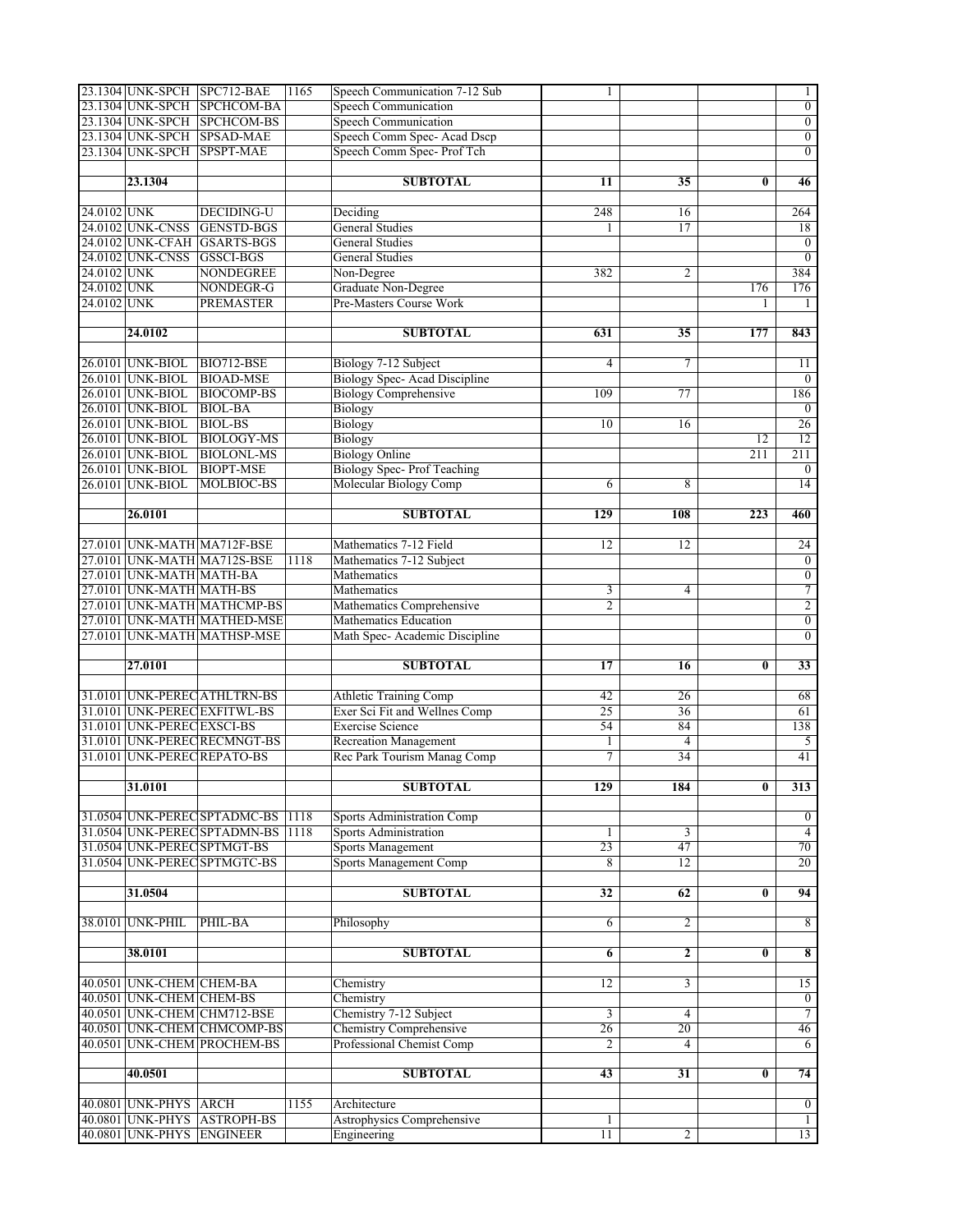|             |                            | 23.1304 UNK-SPCH SPC712-BAE  | 1165 | Speech Communication 7-12 Sub       | 1               |                |          | 1                       |
|-------------|----------------------------|------------------------------|------|-------------------------------------|-----------------|----------------|----------|-------------------------|
|             |                            | 23.1304 UNK-SPCH SPCHCOM-BA  |      | <b>Speech Communication</b>         |                 |                |          | $\overline{0}$          |
|             |                            | 23.1304 UNK-SPCH SPCHCOM-BS  |      | <b>Speech Communication</b>         |                 |                |          | $\overline{0}$          |
|             |                            | 23.1304 UNK-SPCH SPSAD-MAE   |      | Speech Comm Spec- Acad Dscp         |                 |                |          | $\boldsymbol{0}$        |
|             |                            | 23.1304 UNK-SPCH SPSPT-MAE   |      | Speech Comm Spec- Prof Tch          |                 |                |          | $\boldsymbol{0}$        |
|             |                            |                              |      |                                     |                 |                |          |                         |
|             | 23.1304                    |                              |      | <b>SUBTOTAL</b>                     | 11              | 35             | $\bf{0}$ | 46                      |
|             |                            |                              |      |                                     |                 |                |          |                         |
| 24.0102 UNK |                            | <b>DECIDING-U</b>            |      | Deciding                            | 248             | 16             |          | 264                     |
|             | 24.0102 UNK-CNSS           | <b>GENSTD-BGS</b>            |      | <b>General Studies</b>              | 1               | 17             |          | 18                      |
|             |                            | 24.0102 UNK-CFAH GSARTS-BGS  |      | <b>General Studies</b>              |                 |                |          | $\overline{0}$          |
|             | 24.0102 UNK-CNSS           | <b>GSSCI-BGS</b>             |      | <b>General Studies</b>              |                 |                |          | $\overline{0}$          |
| 24.0102 UNK |                            | <b>NONDEGREE</b>             |      | Non-Degree                          | 382             | 2              |          | 384                     |
| 24.0102 UNK |                            | NONDEGR-G                    |      | Graduate Non-Degree                 |                 |                | 176      | 176                     |
| 24.0102 UNK |                            | <b>PREMASTER</b>             |      | Pre-Masters Course Work             |                 |                | 1        | $\mathbf{1}$            |
|             |                            |                              |      |                                     |                 |                |          |                         |
|             |                            |                              |      |                                     | 631             | 35             | 177      | 843                     |
|             | 24.0102                    |                              |      | <b>SUBTOTAL</b>                     |                 |                |          |                         |
|             |                            |                              |      |                                     | $\overline{4}$  | 7              |          |                         |
|             | 26.0101 UNK-BIOL           | BIO712-BSE                   |      | Biology 7-12 Subject                |                 |                |          | 11                      |
|             | 26.0101 UNK-BIOL           | <b>BIOAD-MSE</b>             |      | <b>Biology Spec-Acad Discipline</b> |                 |                |          | $\overline{0}$          |
|             | 26.0101 UNK-BIOL           | <b>BIOCOMP-BS</b>            |      | <b>Biology Comprehensive</b>        | 109             | 77             |          | 186                     |
|             | 26.0101 UNK-BIOL           | <b>BIOL-BA</b>               |      | <b>Biology</b>                      |                 |                |          | $\boldsymbol{0}$        |
|             | 26.0101 UNK-BIOL           | <b>BIOL-BS</b>               |      | <b>Biology</b>                      | 10              | 16             |          | 26                      |
|             | 26.0101 UNK-BIOL           | <b>BIOLOGY-MS</b>            |      | Biology                             |                 |                | 12       | 12                      |
|             | 26.0101 UNK-BIOL           | <b>BIOLONL-MS</b>            |      | <b>Biology Online</b>               |                 |                | 211      | 211                     |
|             | 26.0101 UNK-BIOL           | <b>BIOPT-MSE</b>             |      | Biology Spec-Prof Teaching          |                 |                |          | $\boldsymbol{0}$        |
|             | 26.0101 UNK-BIOL           | MOLBIOC-BS                   |      | Molecular Biology Comp              | 6               | 8              |          | 14                      |
|             |                            |                              |      |                                     |                 |                |          |                         |
|             | 26.0101                    |                              |      | <b>SUBTOTAL</b>                     | 129             | 108            | 223      | 460                     |
|             |                            |                              |      |                                     |                 |                |          |                         |
|             |                            | 27.0101 UNK-MATH MA712F-BSE  |      | Mathematics 7-12 Field              | 12              | 12             |          | 24                      |
|             |                            | 27.0101 UNK-MATH MA712S-BSE  | 1118 | Mathematics 7-12 Subject            |                 |                |          | $\overline{0}$          |
|             | 27.0101 UNK-MATH MATH-BA   |                              |      | Mathematics                         |                 |                |          | $\overline{0}$          |
|             | 27.0101 UNK-MATH MATH-BS   |                              |      | Mathematics                         | 3               | 4              |          | 7                       |
|             |                            | 27.0101 UNK-MATH MATHCMP-BS  |      | Mathematics Comprehensive           | $\overline{2}$  |                |          | $\overline{2}$          |
|             |                            | 27.0101 UNK-MATH MATHED-MSE  |      | Mathematics Education               |                 |                |          | $\boldsymbol{0}$        |
|             |                            | 27.0101 UNK-MATH MATHSP-MSE  |      | Math Spec- Academic Discipline      |                 |                |          | $\boldsymbol{0}$        |
|             |                            |                              |      |                                     |                 |                |          |                         |
|             | 27.0101                    |                              |      | <b>SUBTOTAL</b>                     | 17              | 16             | 0        | $\overline{33}$         |
|             |                            |                              |      |                                     |                 |                |          |                         |
|             |                            | 31.0101 UNK-PEREC ATHLTRN-BS |      | <b>Athletic Training Comp</b>       | 42              | 26             |          | 68                      |
|             |                            |                              |      | Exer Sci Fit and Wellnes Comp       | 25              | 36             |          | 61                      |
|             | 31.0101 UNK-PEREC EXSCI-BS | 31.0101 UNK-PEREC EXFITWL-BS |      | <b>Exercise Science</b>             | 54              | 84             |          | 138                     |
|             |                            |                              |      |                                     |                 |                |          |                         |
|             |                            | 31.0101 UNK-PEREC RECMNGT-BS |      | <b>Recreation Management</b>        | $\mathbf{1}$    | 4              |          | 5                       |
|             |                            | 31.0101 UNK-PEREC REPATO-BS  |      | Rec Park Tourism Manag Comp         | $\overline{7}$  | 34             |          | 41                      |
|             |                            |                              |      |                                     |                 |                |          |                         |
|             | 31.0101                    |                              |      | <b>SUBTOTAL</b>                     | 129             | 184            | 0        | 313                     |
|             |                            |                              |      |                                     |                 |                |          |                         |
|             |                            | 31.0504 UNK-PEREC SPTADMC-BS | 1118 | <b>Sports Administration Comp</b>   |                 |                |          | $\bf{0}$                |
|             |                            | 31.0504 UNK-PEREC SPTADMN-BS | 1118 | <b>Sports Administration</b>        | 1               | 3              |          | $\overline{4}$          |
|             |                            | 31.0504 UNK-PEREC SPTMGT-BS  |      | Sports Management                   | 23              | 47             |          | 70                      |
|             |                            | 31.0504 UNK-PEREC SPTMGTC-BS |      | Sports Management Comp              | 8               | 12             |          | 20                      |
|             |                            |                              |      |                                     |                 |                |          |                         |
|             | 31.0504                    |                              |      | <b>SUBTOTAL</b>                     | 32              | 62             | $\bf{0}$ | 94                      |
|             |                            |                              |      |                                     |                 |                |          |                         |
|             | 38.0101 UNK-PHIL           | PHIL-BA                      |      | Philosophy                          | 6               | 2              |          | 8                       |
|             |                            |                              |      |                                     |                 |                |          |                         |
|             | 38.0101                    |                              |      | <b>SUBTOTAL</b>                     | 6               | 2              | $\bf{0}$ | $\overline{\mathbf{8}}$ |
|             |                            |                              |      |                                     |                 |                |          |                         |
|             | 40.0501 UNK-CHEM CHEM-BA   |                              |      | Chemistry                           | 12              | 3              |          | 15                      |
|             | 40.0501 UNK-CHEM CHEM-BS   |                              |      | Chemistry                           |                 |                |          | $\overline{0}$          |
|             |                            | 40.0501 UNK-CHEM CHM712-BSE  |      | Chemistry 7-12 Subject              | $\overline{3}$  | $\overline{4}$ |          | 7                       |
|             |                            | 40.0501 UNK-CHEM CHMCOMP-BS  |      | Chemistry Comprehensive             | 26              | 20             |          | 46                      |
|             |                            | 40.0501 UNK-CHEM PROCHEM-BS  |      | Professional Chemist Comp           | 2               | 4              |          | 6                       |
|             |                            |                              |      |                                     |                 |                |          |                         |
|             | 40.0501                    |                              |      | <b>SUBTOTAL</b>                     | 43              | 31             | 0        | 74                      |
|             |                            |                              |      |                                     |                 |                |          |                         |
|             | 40.0801 UNK-PHYS           | <b>ARCH</b>                  | 1155 | Architecture                        |                 |                |          | $\overline{0}$          |
|             | 40.0801 UNK-PHYS           | <b>ASTROPH-BS</b>            |      | Astrophysics Comprehensive          | $\mathbf{1}$    |                |          | $\mathbf{1}$            |
|             | 40.0801 UNK-PHYS ENGINEER  |                              |      | Engineering                         | $\overline{11}$ | $\overline{c}$ |          | 13                      |
|             |                            |                              |      |                                     |                 |                |          |                         |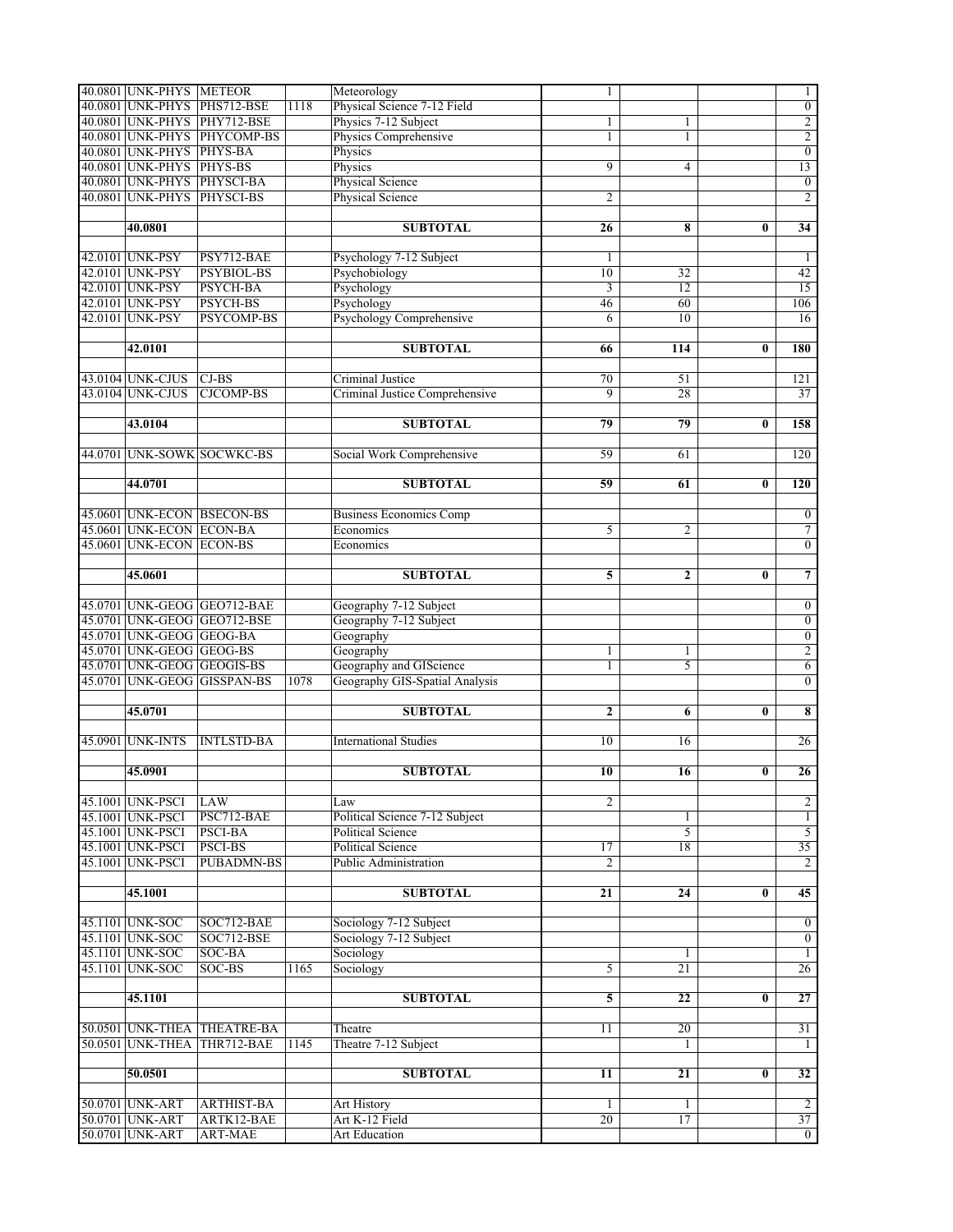| 40.0801 UNK-PHYS METEOR    |                             |      | Meteorology                    | 1               |                |          | 1                |
|----------------------------|-----------------------------|------|--------------------------------|-----------------|----------------|----------|------------------|
|                            | 40.0801 UNK-PHYS PHS712-BSE | 1118 | Physical Science 7-12 Field    |                 |                |          | $\boldsymbol{0}$ |
|                            | 40.0801 UNK-PHYS PHY712-BSE |      | Physics 7-12 Subject           | 1               | 1              |          | $\overline{2}$   |
|                            | 40.0801 UNK-PHYS PHYCOMP-BS |      | Physics Comprehensive          | 1               | 1              |          | $\overline{2}$   |
| 40.0801 UNK-PHYS PHYS-BA   |                             |      | Physics                        |                 |                |          | $\overline{0}$   |
| 40.0801 UNK-PHYS PHYS-BS   |                             |      | Physics                        | 9               | 4              |          | 13               |
| 40.0801 UNK-PHYS PHYSCI-BA |                             |      | Physical Science               |                 |                |          | $\overline{0}$   |
| 40.0801 UNK-PHYS PHYSCI-BS |                             |      | Physical Science               | 2               |                |          | $\overline{2}$   |
|                            |                             |      |                                |                 |                |          |                  |
| 40.0801                    |                             |      | <b>SUBTOTAL</b>                | 26              | 8              | $\bf{0}$ | $\overline{34}$  |
|                            |                             |      |                                |                 |                |          |                  |
| 42.0101 UNK-PSY            | PSY712-BAE                  |      | Psychology 7-12 Subject        | 1               |                |          | $\mathbf{1}$     |
| 42.0101 UNK-PSY            | <b>PSYBIOL-BS</b>           |      | Psychobiology                  | 10              | 32             |          | 42               |
| 42.0101 UNK-PSY            | <b>PSYCH-BA</b>             |      |                                |                 | 12             |          | 15               |
| 42.0101 UNK-PSY            |                             |      | Psychology                     | 3               |                |          |                  |
|                            | PSYCH-BS                    |      | Psychology                     | 46              | 60             |          | 106              |
| 42.0101 UNK-PSY            | <b>PSYCOMP-BS</b>           |      | Psychology Comprehensive       | 6               | 10             |          | 16               |
|                            |                             |      |                                |                 |                |          |                  |
| 42.0101                    |                             |      | <b>SUBTOTAL</b>                | 66              | 114            | $\bf{0}$ | 180              |
|                            |                             |      |                                |                 |                |          |                  |
| 43.0104 UNK-CJUS           | $CI-BS$                     |      | Criminal Justice               | 70              | 51             |          | 121              |
| 43.0104 UNK-CJUS           | <b>CJCOMP-BS</b>            |      | Criminal Justice Comprehensive | 9               | 28             |          | $\overline{37}$  |
|                            |                             |      |                                |                 |                |          |                  |
| 43.0104                    |                             |      | <b>SUBTOTAL</b>                | 79              | 79             | $\bf{0}$ | 158              |
|                            |                             |      |                                |                 |                |          |                  |
|                            | 44.0701 UNK-SOWK SOCWKC-BS  |      | Social Work Comprehensive      | 59              | 61             |          | 120              |
|                            |                             |      |                                |                 |                |          |                  |
| 44.0701                    |                             |      | <b>SUBTOTAL</b>                | 59              | 61             | 0        | 120              |
|                            |                             |      |                                |                 |                |          |                  |
|                            | 45.0601 UNK-ECON BSECON-BS  |      | <b>Business Economics Comp</b> |                 |                |          | $\bf{0}$         |
| 45.0601 UNK-ECON ECON-BA   |                             |      | Economics                      | 5               | 2              |          | 7                |
| 45.0601 UNK-ECON ECON-BS   |                             |      | Economics                      |                 |                |          | $\overline{0}$   |
|                            |                             |      |                                |                 |                |          |                  |
| 45.0601                    |                             |      | <b>SUBTOTAL</b>                | 5               | $\overline{2}$ | $\bf{0}$ | $\overline{7}$   |
|                            |                             |      |                                |                 |                |          |                  |
|                            | 45.0701 UNK-GEOG GEO712-BAE |      | Geography 7-12 Subject         |                 |                |          | $\boldsymbol{0}$ |
|                            | 45.0701 UNK-GEOG GEO712-BSE |      | Geography 7-12 Subject         |                 |                |          | $\overline{0}$   |
| 45.0701 UNK-GEOG GEOG-BA   |                             |      | Geography                      |                 |                |          | $\overline{0}$   |
| 45.0701 UNK-GEOG GEOG-BS   |                             |      | Geography                      | 1               | 1              |          | $\overline{2}$   |
| 45.0701 UNK-GEOG GEOGIS-BS |                             |      | Geography and GIScience        | 1               | 5              |          | $\overline{6}$   |
|                            | 45.0701 UNK-GEOG GISSPAN-BS | 1078 | Geography GIS-Spatial Analysis |                 |                |          | $\overline{0}$   |
|                            |                             |      |                                |                 |                |          |                  |
| 45.0701                    |                             |      | <b>SUBTOTAL</b>                | $\mathbf{2}$    | 6              | 0        | 8                |
|                            |                             |      |                                |                 |                |          |                  |
| 45.0901 UNK-INTS           | <b>INTLSTD-BA</b>           |      | <b>International Studies</b>   | 10              | 16             |          | $\overline{26}$  |
|                            |                             |      |                                |                 |                |          |                  |
| 45.0901                    |                             |      | <b>SUBTOTAL</b>                | 10              | 16             | $\bf{0}$ | $\overline{26}$  |
|                            |                             |      |                                |                 |                |          |                  |
| 45.1001 UNK-PSCI           | <b>LAW</b>                  |      | Law                            | 2               |                |          | $\overline{2}$   |
| 45.1001 UNK-PSCI           | PSC712-BAE                  |      | Political Science 7-12 Subject |                 | 1              |          | $\mathbf{1}$     |
| 45.1001 UNK-PSCI           | <b>PSCI-BA</b>              |      | <b>Political Science</b>       |                 | 5              |          | $\overline{5}$   |
| 45.1001 UNK-PSCI           | <b>PSCI-BS</b>              |      | <b>Political Science</b>       | 17              | 18             |          | 35               |
| 45.1001 UNK-PSCI           | <b>PUBADMN-BS</b>           |      | <b>Public Administration</b>   | $\overline{c}$  |                |          | $\overline{2}$   |
|                            |                             |      |                                |                 |                |          |                  |
| 45.1001                    |                             |      | <b>SUBTOTAL</b>                | 21              | 24             | $\bf{0}$ | 45               |
|                            |                             |      |                                |                 |                |          |                  |
| 45.1101 UNK-SOC            | SOC712-BAE                  |      | Sociology 7-12 Subject         |                 |                |          | $\overline{0}$   |
| 45.1101 UNK-SOC            | SOC712-BSE                  |      | Sociology 7-12 Subject         |                 |                |          | $\overline{0}$   |
| 45.1101 UNK-SOC            | SOC-BA                      |      | Sociology                      |                 | 1              |          | $\mathbf{1}$     |
| 45.1101 UNK-SOC            | SOC-BS                      | 1165 | Sociology                      | 5               | 21             |          | 26               |
|                            |                             |      |                                |                 |                |          |                  |
| 45.1101                    |                             |      | <b>SUBTOTAL</b>                | 5               | 22             | 0        | $\overline{27}$  |
|                            |                             |      |                                |                 |                |          |                  |
|                            | 50.0501 UNK-THEA THEATRE-BA |      | Theatre                        | 11              | 20             |          | 31               |
| 50.0501 UNK-THEA           | THR712-BAE                  | 1145 | Theatre 7-12 Subject           |                 | 1              |          | $\mathbf{1}$     |
|                            |                             |      |                                |                 |                |          |                  |
| 50.0501                    |                             |      | <b>SUBTOTAL</b>                | 11              | 21             | 0        | $\overline{32}$  |
|                            |                             |      |                                |                 |                |          |                  |
| 50.0701 UNK-ART            | <b>ARTHIST-BA</b>           |      | Art History                    | 1               | 1              |          | $\overline{2}$   |
| 50.0701 UNK-ART            | ARTK12-BAE                  |      | Art K-12 Field                 | $\overline{20}$ | 17             |          | 37               |
| 50.0701 UNK-ART            | ART-MAE                     |      | <b>Art Education</b>           |                 |                |          | $\overline{0}$   |
|                            |                             |      |                                |                 |                |          |                  |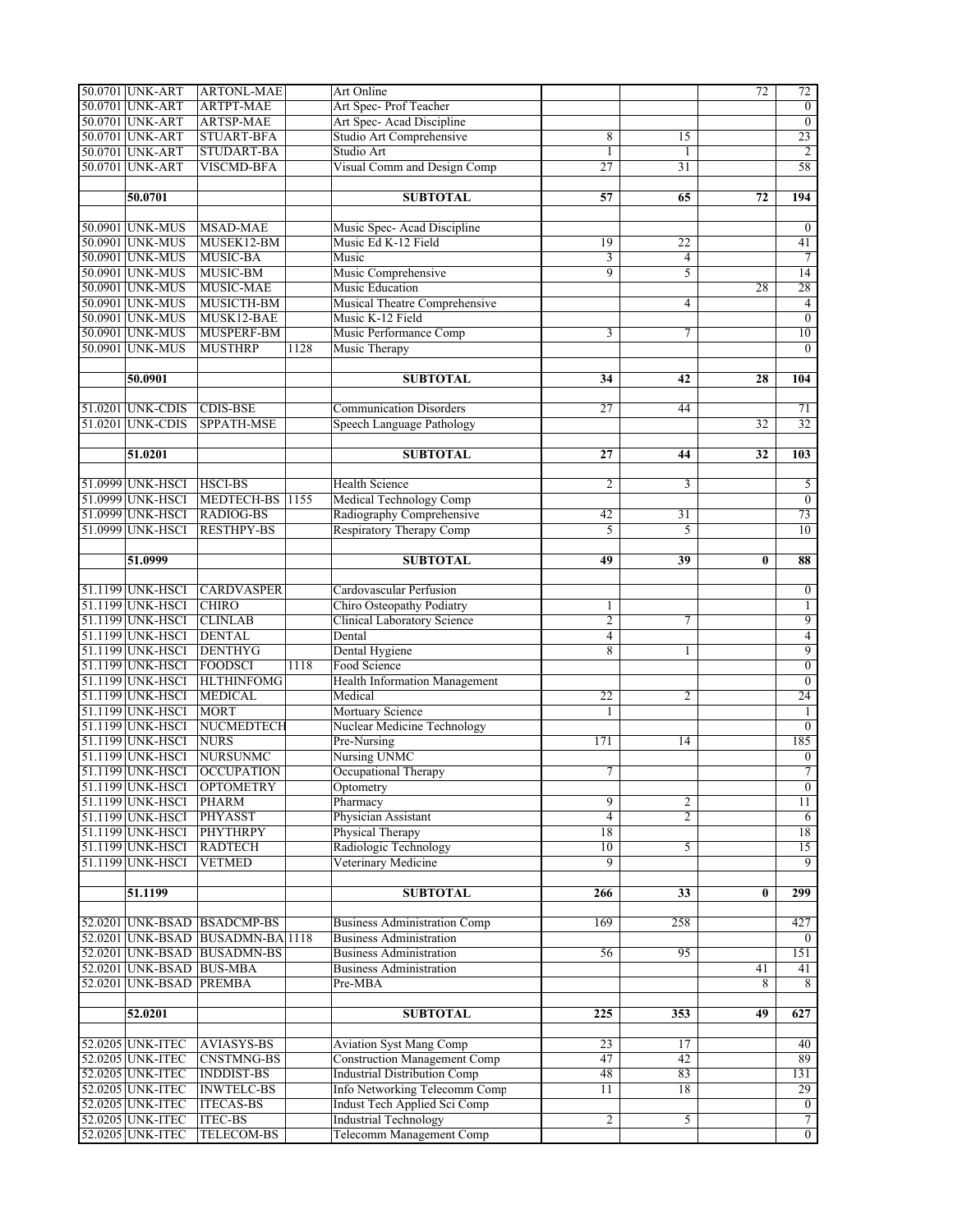| 50.0701 UNK-ART<br><b>ARTPT-MAE</b><br>Art Spec-Prof Teacher<br>$\overline{0}$<br>Art Spec- Acad Discipline<br>$\overline{0}$<br>50.0701 UNK-ART<br><b>ARTSP-MAE</b><br>Studio Art Comprehensive<br>23<br>50.0701 UNK-ART<br><b>STUART-BFA</b><br>8<br>15<br>$\overline{2}$<br>50.0701 UNK-ART<br><b>STUDART-BA</b><br>Studio Art<br>$\mathbf{1}$<br>1<br>Visual Comm and Design Comp<br>58<br>50.0701 UNK-ART<br><b>VISCMD-BFA</b><br>$\overline{27}$<br>31<br>50.0701<br><b>SUBTOTAL</b><br>57<br>194<br>65<br>72<br>50.0901 UNK-MUS<br>Music Spec-Acad Discipline<br>$\overline{0}$<br><b>MSAD-MAE</b><br>50.0901 UNK-MUS<br>MUSEK12-BM<br>Music Ed K-12 Field<br>41<br>19<br>22<br>50.0901 UNK-MUS<br>$\overline{7}$<br>MUSIC-BA<br>Music<br>3<br>4<br>14<br>Music Comprehensive<br>$\overline{9}$<br>50.0901 UNK-MUS<br>MUSIC-BM<br>5<br>28<br>50.0901 UNK-MUS<br>MUSIC-MAE<br>Music Education<br>28<br>$\overline{4}$<br>50.0901 UNK-MUS<br>MUSICTH-BM<br>Musical Theatre Comprehensive<br>4<br>50.0901 UNK-MUS<br>$\overline{0}$<br>MUSK12-BAE<br>Music K-12 Field<br>50.0901 UNK-MUS<br>10<br>MUSPERF-BM<br>Music Performance Comp<br>$\tau$<br>3<br>50.0901 UNK-MUS<br><b>MUSTHRP</b><br>$\overline{0}$<br>1128<br>Music Therapy<br>50.0901<br><b>SUBTOTAL</b><br>34<br>28<br>104<br>42<br>51.0201 UNK-CDIS<br><b>CDIS-BSE</b><br><b>Communication Disorders</b><br>27<br>71<br>44<br>51.0201 UNK-CDIS<br>32<br>SPPATH-MSE<br>32<br>Speech Language Pathology<br>103<br>51.0201<br><b>SUBTOTAL</b><br>27<br>44<br>32<br>51.0999 UNK-HSCI<br><b>HSCI-BS</b><br><b>Health Science</b><br>$\overline{c}$<br>$\overline{5}$<br>3<br>Medical Technology Comp<br>51.0999 UNK-HSCI<br>$\overline{0}$<br>MEDTECH-BS<br>1155<br>Radiography Comprehensive<br>73<br>51.0999 UNK-HSCI<br><b>RADIOG-BS</b><br>42<br>31<br>Respiratory Therapy Comp<br>10<br>51.0999 UNK-HSCI<br><b>RESTHPY-BS</b><br>5<br>5<br>51.0999<br><b>SUBTOTAL</b><br>39<br>88<br>49<br>$\bf{0}$<br>51.1199 UNK-HSCI<br><b>CARDVASPER</b><br>Cardovascular Perfusion<br>$\boldsymbol{0}$<br>51.1199 UNK-HSCI<br><b>CHIRO</b><br>Chiro Osteopathy Podiatry<br>$\mathbf{1}$<br>1<br>51.1199 UNK-HSCI<br><b>CLINLAB</b><br>Clinical Laboratory Science<br>$\overline{2}$<br>$\overline{9}$<br>$\tau$<br><b>DENTAL</b><br>$\overline{4}$<br>51.1199 UNK-HSCI<br>Dental<br>4<br>9<br>51.1199 UNK-HSCI<br><b>DENTHYG</b><br>Dental Hygiene<br>8<br>1<br>51.1199 UNK-HSCI<br>Food Science<br>$\overline{0}$<br><b>FOODSCI</b><br>1118<br>51.1199 UNK-HSCI<br><b>HLTHINFOMG</b><br><b>Health Information Management</b><br>$\overline{0}$<br>24<br>51.1199 UNK-HSCI<br><b>MEDICAL</b><br>Medical<br>$\overline{22}$<br>2<br>51.1199 UNK-HSCI<br><b>MORT</b><br><b>Mortuary Science</b><br>$\mathbf{1}$<br>1<br>Nuclear Medicine Technology<br>$\overline{0}$<br>51.1199 UNK-HSCI<br>NUCMEDTECH<br>185<br><b>NURS</b><br>51.1199 UNK-HSCI<br>Pre-Nursing<br>171<br>14<br>Nursing UNMC<br>51.1199 UNK-HSCI<br><b>NURSUNMC</b><br>$\overline{0}$<br>Occupational Therapy<br>$\overline{7}$<br>51.1199 UNK-HSCI<br><b>OCCUPATION</b><br>7<br>51.1199 UNK-HSCI<br><b>OPTOMETRY</b><br>$\overline{0}$<br>Optometry<br>11<br>51.1199 UNK-HSCI<br>$\overline{9}$<br><b>PHARM</b><br>Pharmacy<br>2<br>Physician Assistant<br>51.1199 UNK-HSCI<br><b>PHYASST</b><br>$\overline{4}$<br>$\overline{2}$<br>6<br><b>PHYTHRPY</b><br>18<br>18<br>51.1199 UNK-HSCI<br>Physical Therapy<br>15<br>51.1199 UNK-HSCI<br><b>RADTECH</b><br>Radiologic Technology<br>10<br>5<br>51.1199 UNK-HSCI<br><b>VETMED</b><br>Veterinary Medicine<br>9<br>9<br><b>SUBTOTAL</b><br>299<br>51.1199<br>266<br>33<br>$\bf{0}$<br>52.0201 UNK-BSAD BSADCMP-BS<br>169<br>258<br>427<br><b>Business Administration Comp</b><br>52.0201 UNK-BSAD BUSADMN-BA 1118<br><b>Business Administration</b><br>$\overline{0}$<br>52.0201 UNK-BSAD BUSADMN-BS<br>151<br><b>Business Administration</b><br>95<br>56<br>52.0201 UNK-BSAD BUS-MBA<br><b>Business Administration</b><br>41<br>41<br>52.0201 UNK-BSAD PREMBA<br>8<br>$\overline{8}$<br>Pre-MBA<br>627<br>52.0201<br><b>SUBTOTAL</b><br>$\overline{225}$<br>353<br>49<br>52.0205 UNK-ITEC<br><b>AVIASYS-BS</b><br>$\overline{23}$<br>40<br>Aviation Syst Mang Comp<br>17<br>89<br>52.0205 UNK-ITEC<br><b>CNSTMNG-BS</b><br><b>Construction Management Comp</b><br>47<br>42<br><b>Industrial Distribution Comp</b><br>52.0205 UNK-ITEC<br>48<br>131<br><b>INDDIST-BS</b><br>83<br>52.0205 UNK-ITEC<br><b>INWTELC-BS</b><br><b>Info Networking Telecomm Comp</b><br>18<br>29<br>11<br>$\overline{0}$<br>52.0205 UNK-ITEC<br><b>ITECAS-BS</b><br>Indust Tech Applied Sci Comp<br>$\overline{7}$<br><b>Industrial Technology</b><br>52.0205 UNK-ITEC<br><b>ITEC-BS</b><br>$\overline{2}$<br>5<br>Telecomm Management Comp<br>$\overline{0}$<br>52.0205 UNK-ITEC<br><b>TELECOM-BS</b> | 50.0701 UNK-ART | <b>ARTONL-MAE</b> | Art Online |  | 72 | 72 |
|-------------------------------------------------------------------------------------------------------------------------------------------------------------------------------------------------------------------------------------------------------------------------------------------------------------------------------------------------------------------------------------------------------------------------------------------------------------------------------------------------------------------------------------------------------------------------------------------------------------------------------------------------------------------------------------------------------------------------------------------------------------------------------------------------------------------------------------------------------------------------------------------------------------------------------------------------------------------------------------------------------------------------------------------------------------------------------------------------------------------------------------------------------------------------------------------------------------------------------------------------------------------------------------------------------------------------------------------------------------------------------------------------------------------------------------------------------------------------------------------------------------------------------------------------------------------------------------------------------------------------------------------------------------------------------------------------------------------------------------------------------------------------------------------------------------------------------------------------------------------------------------------------------------------------------------------------------------------------------------------------------------------------------------------------------------------------------------------------------------------------------------------------------------------------------------------------------------------------------------------------------------------------------------------------------------------------------------------------------------------------------------------------------------------------------------------------------------------------------------------------------------------------------------------------------------------------------------------------------------------------------------------------------------------------------------------------------------------------------------------------------------------------------------------------------------------------------------------------------------------------------------------------------------------------------------------------------------------------------------------------------------------------------------------------------------------------------------------------------------------------------------------------------------------------------------------------------------------------------------------------------------------------------------------------------------------------------------------------------------------------------------------------------------------------------------------------------------------------------------------------------------------------------------------------------------------------------------------------------------------------------------------------------------------------------------------------------------------------------------------------------------------------------------------------------------------------------------------------------------------------------------------------------------------------------------------------------------------------------------------------------------------------------------------------------------------------------------------------------------------------------------------------------------------------------------------------------------------------------------------------------------------------------------------------------------------------------------------------------------------------------------------------------------------------------------------------------------------------------------------------------------------------------------------------------------------------------------------------------------------------------------------------------------------------------------------------------------------------------------------------------------------------------------------------------------------------------------------------------|-----------------|-------------------|------------|--|----|----|
|                                                                                                                                                                                                                                                                                                                                                                                                                                                                                                                                                                                                                                                                                                                                                                                                                                                                                                                                                                                                                                                                                                                                                                                                                                                                                                                                                                                                                                                                                                                                                                                                                                                                                                                                                                                                                                                                                                                                                                                                                                                                                                                                                                                                                                                                                                                                                                                                                                                                                                                                                                                                                                                                                                                                                                                                                                                                                                                                                                                                                                                                                                                                                                                                                                                                                                                                                                                                                                                                                                                                                                                                                                                                                                                                                                                                                                                                                                                                                                                                                                                                                                                                                                                                                                                                                                                                                                                                                                                                                                                                                                                                                                                                                                                                                                                                                                                       |                 |                   |            |  |    |    |
|                                                                                                                                                                                                                                                                                                                                                                                                                                                                                                                                                                                                                                                                                                                                                                                                                                                                                                                                                                                                                                                                                                                                                                                                                                                                                                                                                                                                                                                                                                                                                                                                                                                                                                                                                                                                                                                                                                                                                                                                                                                                                                                                                                                                                                                                                                                                                                                                                                                                                                                                                                                                                                                                                                                                                                                                                                                                                                                                                                                                                                                                                                                                                                                                                                                                                                                                                                                                                                                                                                                                                                                                                                                                                                                                                                                                                                                                                                                                                                                                                                                                                                                                                                                                                                                                                                                                                                                                                                                                                                                                                                                                                                                                                                                                                                                                                                                       |                 |                   |            |  |    |    |
|                                                                                                                                                                                                                                                                                                                                                                                                                                                                                                                                                                                                                                                                                                                                                                                                                                                                                                                                                                                                                                                                                                                                                                                                                                                                                                                                                                                                                                                                                                                                                                                                                                                                                                                                                                                                                                                                                                                                                                                                                                                                                                                                                                                                                                                                                                                                                                                                                                                                                                                                                                                                                                                                                                                                                                                                                                                                                                                                                                                                                                                                                                                                                                                                                                                                                                                                                                                                                                                                                                                                                                                                                                                                                                                                                                                                                                                                                                                                                                                                                                                                                                                                                                                                                                                                                                                                                                                                                                                                                                                                                                                                                                                                                                                                                                                                                                                       |                 |                   |            |  |    |    |
|                                                                                                                                                                                                                                                                                                                                                                                                                                                                                                                                                                                                                                                                                                                                                                                                                                                                                                                                                                                                                                                                                                                                                                                                                                                                                                                                                                                                                                                                                                                                                                                                                                                                                                                                                                                                                                                                                                                                                                                                                                                                                                                                                                                                                                                                                                                                                                                                                                                                                                                                                                                                                                                                                                                                                                                                                                                                                                                                                                                                                                                                                                                                                                                                                                                                                                                                                                                                                                                                                                                                                                                                                                                                                                                                                                                                                                                                                                                                                                                                                                                                                                                                                                                                                                                                                                                                                                                                                                                                                                                                                                                                                                                                                                                                                                                                                                                       |                 |                   |            |  |    |    |
|                                                                                                                                                                                                                                                                                                                                                                                                                                                                                                                                                                                                                                                                                                                                                                                                                                                                                                                                                                                                                                                                                                                                                                                                                                                                                                                                                                                                                                                                                                                                                                                                                                                                                                                                                                                                                                                                                                                                                                                                                                                                                                                                                                                                                                                                                                                                                                                                                                                                                                                                                                                                                                                                                                                                                                                                                                                                                                                                                                                                                                                                                                                                                                                                                                                                                                                                                                                                                                                                                                                                                                                                                                                                                                                                                                                                                                                                                                                                                                                                                                                                                                                                                                                                                                                                                                                                                                                                                                                                                                                                                                                                                                                                                                                                                                                                                                                       |                 |                   |            |  |    |    |
|                                                                                                                                                                                                                                                                                                                                                                                                                                                                                                                                                                                                                                                                                                                                                                                                                                                                                                                                                                                                                                                                                                                                                                                                                                                                                                                                                                                                                                                                                                                                                                                                                                                                                                                                                                                                                                                                                                                                                                                                                                                                                                                                                                                                                                                                                                                                                                                                                                                                                                                                                                                                                                                                                                                                                                                                                                                                                                                                                                                                                                                                                                                                                                                                                                                                                                                                                                                                                                                                                                                                                                                                                                                                                                                                                                                                                                                                                                                                                                                                                                                                                                                                                                                                                                                                                                                                                                                                                                                                                                                                                                                                                                                                                                                                                                                                                                                       |                 |                   |            |  |    |    |
|                                                                                                                                                                                                                                                                                                                                                                                                                                                                                                                                                                                                                                                                                                                                                                                                                                                                                                                                                                                                                                                                                                                                                                                                                                                                                                                                                                                                                                                                                                                                                                                                                                                                                                                                                                                                                                                                                                                                                                                                                                                                                                                                                                                                                                                                                                                                                                                                                                                                                                                                                                                                                                                                                                                                                                                                                                                                                                                                                                                                                                                                                                                                                                                                                                                                                                                                                                                                                                                                                                                                                                                                                                                                                                                                                                                                                                                                                                                                                                                                                                                                                                                                                                                                                                                                                                                                                                                                                                                                                                                                                                                                                                                                                                                                                                                                                                                       |                 |                   |            |  |    |    |
|                                                                                                                                                                                                                                                                                                                                                                                                                                                                                                                                                                                                                                                                                                                                                                                                                                                                                                                                                                                                                                                                                                                                                                                                                                                                                                                                                                                                                                                                                                                                                                                                                                                                                                                                                                                                                                                                                                                                                                                                                                                                                                                                                                                                                                                                                                                                                                                                                                                                                                                                                                                                                                                                                                                                                                                                                                                                                                                                                                                                                                                                                                                                                                                                                                                                                                                                                                                                                                                                                                                                                                                                                                                                                                                                                                                                                                                                                                                                                                                                                                                                                                                                                                                                                                                                                                                                                                                                                                                                                                                                                                                                                                                                                                                                                                                                                                                       |                 |                   |            |  |    |    |
|                                                                                                                                                                                                                                                                                                                                                                                                                                                                                                                                                                                                                                                                                                                                                                                                                                                                                                                                                                                                                                                                                                                                                                                                                                                                                                                                                                                                                                                                                                                                                                                                                                                                                                                                                                                                                                                                                                                                                                                                                                                                                                                                                                                                                                                                                                                                                                                                                                                                                                                                                                                                                                                                                                                                                                                                                                                                                                                                                                                                                                                                                                                                                                                                                                                                                                                                                                                                                                                                                                                                                                                                                                                                                                                                                                                                                                                                                                                                                                                                                                                                                                                                                                                                                                                                                                                                                                                                                                                                                                                                                                                                                                                                                                                                                                                                                                                       |                 |                   |            |  |    |    |
|                                                                                                                                                                                                                                                                                                                                                                                                                                                                                                                                                                                                                                                                                                                                                                                                                                                                                                                                                                                                                                                                                                                                                                                                                                                                                                                                                                                                                                                                                                                                                                                                                                                                                                                                                                                                                                                                                                                                                                                                                                                                                                                                                                                                                                                                                                                                                                                                                                                                                                                                                                                                                                                                                                                                                                                                                                                                                                                                                                                                                                                                                                                                                                                                                                                                                                                                                                                                                                                                                                                                                                                                                                                                                                                                                                                                                                                                                                                                                                                                                                                                                                                                                                                                                                                                                                                                                                                                                                                                                                                                                                                                                                                                                                                                                                                                                                                       |                 |                   |            |  |    |    |
|                                                                                                                                                                                                                                                                                                                                                                                                                                                                                                                                                                                                                                                                                                                                                                                                                                                                                                                                                                                                                                                                                                                                                                                                                                                                                                                                                                                                                                                                                                                                                                                                                                                                                                                                                                                                                                                                                                                                                                                                                                                                                                                                                                                                                                                                                                                                                                                                                                                                                                                                                                                                                                                                                                                                                                                                                                                                                                                                                                                                                                                                                                                                                                                                                                                                                                                                                                                                                                                                                                                                                                                                                                                                                                                                                                                                                                                                                                                                                                                                                                                                                                                                                                                                                                                                                                                                                                                                                                                                                                                                                                                                                                                                                                                                                                                                                                                       |                 |                   |            |  |    |    |
|                                                                                                                                                                                                                                                                                                                                                                                                                                                                                                                                                                                                                                                                                                                                                                                                                                                                                                                                                                                                                                                                                                                                                                                                                                                                                                                                                                                                                                                                                                                                                                                                                                                                                                                                                                                                                                                                                                                                                                                                                                                                                                                                                                                                                                                                                                                                                                                                                                                                                                                                                                                                                                                                                                                                                                                                                                                                                                                                                                                                                                                                                                                                                                                                                                                                                                                                                                                                                                                                                                                                                                                                                                                                                                                                                                                                                                                                                                                                                                                                                                                                                                                                                                                                                                                                                                                                                                                                                                                                                                                                                                                                                                                                                                                                                                                                                                                       |                 |                   |            |  |    |    |
|                                                                                                                                                                                                                                                                                                                                                                                                                                                                                                                                                                                                                                                                                                                                                                                                                                                                                                                                                                                                                                                                                                                                                                                                                                                                                                                                                                                                                                                                                                                                                                                                                                                                                                                                                                                                                                                                                                                                                                                                                                                                                                                                                                                                                                                                                                                                                                                                                                                                                                                                                                                                                                                                                                                                                                                                                                                                                                                                                                                                                                                                                                                                                                                                                                                                                                                                                                                                                                                                                                                                                                                                                                                                                                                                                                                                                                                                                                                                                                                                                                                                                                                                                                                                                                                                                                                                                                                                                                                                                                                                                                                                                                                                                                                                                                                                                                                       |                 |                   |            |  |    |    |
|                                                                                                                                                                                                                                                                                                                                                                                                                                                                                                                                                                                                                                                                                                                                                                                                                                                                                                                                                                                                                                                                                                                                                                                                                                                                                                                                                                                                                                                                                                                                                                                                                                                                                                                                                                                                                                                                                                                                                                                                                                                                                                                                                                                                                                                                                                                                                                                                                                                                                                                                                                                                                                                                                                                                                                                                                                                                                                                                                                                                                                                                                                                                                                                                                                                                                                                                                                                                                                                                                                                                                                                                                                                                                                                                                                                                                                                                                                                                                                                                                                                                                                                                                                                                                                                                                                                                                                                                                                                                                                                                                                                                                                                                                                                                                                                                                                                       |                 |                   |            |  |    |    |
|                                                                                                                                                                                                                                                                                                                                                                                                                                                                                                                                                                                                                                                                                                                                                                                                                                                                                                                                                                                                                                                                                                                                                                                                                                                                                                                                                                                                                                                                                                                                                                                                                                                                                                                                                                                                                                                                                                                                                                                                                                                                                                                                                                                                                                                                                                                                                                                                                                                                                                                                                                                                                                                                                                                                                                                                                                                                                                                                                                                                                                                                                                                                                                                                                                                                                                                                                                                                                                                                                                                                                                                                                                                                                                                                                                                                                                                                                                                                                                                                                                                                                                                                                                                                                                                                                                                                                                                                                                                                                                                                                                                                                                                                                                                                                                                                                                                       |                 |                   |            |  |    |    |
|                                                                                                                                                                                                                                                                                                                                                                                                                                                                                                                                                                                                                                                                                                                                                                                                                                                                                                                                                                                                                                                                                                                                                                                                                                                                                                                                                                                                                                                                                                                                                                                                                                                                                                                                                                                                                                                                                                                                                                                                                                                                                                                                                                                                                                                                                                                                                                                                                                                                                                                                                                                                                                                                                                                                                                                                                                                                                                                                                                                                                                                                                                                                                                                                                                                                                                                                                                                                                                                                                                                                                                                                                                                                                                                                                                                                                                                                                                                                                                                                                                                                                                                                                                                                                                                                                                                                                                                                                                                                                                                                                                                                                                                                                                                                                                                                                                                       |                 |                   |            |  |    |    |
|                                                                                                                                                                                                                                                                                                                                                                                                                                                                                                                                                                                                                                                                                                                                                                                                                                                                                                                                                                                                                                                                                                                                                                                                                                                                                                                                                                                                                                                                                                                                                                                                                                                                                                                                                                                                                                                                                                                                                                                                                                                                                                                                                                                                                                                                                                                                                                                                                                                                                                                                                                                                                                                                                                                                                                                                                                                                                                                                                                                                                                                                                                                                                                                                                                                                                                                                                                                                                                                                                                                                                                                                                                                                                                                                                                                                                                                                                                                                                                                                                                                                                                                                                                                                                                                                                                                                                                                                                                                                                                                                                                                                                                                                                                                                                                                                                                                       |                 |                   |            |  |    |    |
|                                                                                                                                                                                                                                                                                                                                                                                                                                                                                                                                                                                                                                                                                                                                                                                                                                                                                                                                                                                                                                                                                                                                                                                                                                                                                                                                                                                                                                                                                                                                                                                                                                                                                                                                                                                                                                                                                                                                                                                                                                                                                                                                                                                                                                                                                                                                                                                                                                                                                                                                                                                                                                                                                                                                                                                                                                                                                                                                                                                                                                                                                                                                                                                                                                                                                                                                                                                                                                                                                                                                                                                                                                                                                                                                                                                                                                                                                                                                                                                                                                                                                                                                                                                                                                                                                                                                                                                                                                                                                                                                                                                                                                                                                                                                                                                                                                                       |                 |                   |            |  |    |    |
|                                                                                                                                                                                                                                                                                                                                                                                                                                                                                                                                                                                                                                                                                                                                                                                                                                                                                                                                                                                                                                                                                                                                                                                                                                                                                                                                                                                                                                                                                                                                                                                                                                                                                                                                                                                                                                                                                                                                                                                                                                                                                                                                                                                                                                                                                                                                                                                                                                                                                                                                                                                                                                                                                                                                                                                                                                                                                                                                                                                                                                                                                                                                                                                                                                                                                                                                                                                                                                                                                                                                                                                                                                                                                                                                                                                                                                                                                                                                                                                                                                                                                                                                                                                                                                                                                                                                                                                                                                                                                                                                                                                                                                                                                                                                                                                                                                                       |                 |                   |            |  |    |    |
|                                                                                                                                                                                                                                                                                                                                                                                                                                                                                                                                                                                                                                                                                                                                                                                                                                                                                                                                                                                                                                                                                                                                                                                                                                                                                                                                                                                                                                                                                                                                                                                                                                                                                                                                                                                                                                                                                                                                                                                                                                                                                                                                                                                                                                                                                                                                                                                                                                                                                                                                                                                                                                                                                                                                                                                                                                                                                                                                                                                                                                                                                                                                                                                                                                                                                                                                                                                                                                                                                                                                                                                                                                                                                                                                                                                                                                                                                                                                                                                                                                                                                                                                                                                                                                                                                                                                                                                                                                                                                                                                                                                                                                                                                                                                                                                                                                                       |                 |                   |            |  |    |    |
|                                                                                                                                                                                                                                                                                                                                                                                                                                                                                                                                                                                                                                                                                                                                                                                                                                                                                                                                                                                                                                                                                                                                                                                                                                                                                                                                                                                                                                                                                                                                                                                                                                                                                                                                                                                                                                                                                                                                                                                                                                                                                                                                                                                                                                                                                                                                                                                                                                                                                                                                                                                                                                                                                                                                                                                                                                                                                                                                                                                                                                                                                                                                                                                                                                                                                                                                                                                                                                                                                                                                                                                                                                                                                                                                                                                                                                                                                                                                                                                                                                                                                                                                                                                                                                                                                                                                                                                                                                                                                                                                                                                                                                                                                                                                                                                                                                                       |                 |                   |            |  |    |    |
|                                                                                                                                                                                                                                                                                                                                                                                                                                                                                                                                                                                                                                                                                                                                                                                                                                                                                                                                                                                                                                                                                                                                                                                                                                                                                                                                                                                                                                                                                                                                                                                                                                                                                                                                                                                                                                                                                                                                                                                                                                                                                                                                                                                                                                                                                                                                                                                                                                                                                                                                                                                                                                                                                                                                                                                                                                                                                                                                                                                                                                                                                                                                                                                                                                                                                                                                                                                                                                                                                                                                                                                                                                                                                                                                                                                                                                                                                                                                                                                                                                                                                                                                                                                                                                                                                                                                                                                                                                                                                                                                                                                                                                                                                                                                                                                                                                                       |                 |                   |            |  |    |    |
|                                                                                                                                                                                                                                                                                                                                                                                                                                                                                                                                                                                                                                                                                                                                                                                                                                                                                                                                                                                                                                                                                                                                                                                                                                                                                                                                                                                                                                                                                                                                                                                                                                                                                                                                                                                                                                                                                                                                                                                                                                                                                                                                                                                                                                                                                                                                                                                                                                                                                                                                                                                                                                                                                                                                                                                                                                                                                                                                                                                                                                                                                                                                                                                                                                                                                                                                                                                                                                                                                                                                                                                                                                                                                                                                                                                                                                                                                                                                                                                                                                                                                                                                                                                                                                                                                                                                                                                                                                                                                                                                                                                                                                                                                                                                                                                                                                                       |                 |                   |            |  |    |    |
|                                                                                                                                                                                                                                                                                                                                                                                                                                                                                                                                                                                                                                                                                                                                                                                                                                                                                                                                                                                                                                                                                                                                                                                                                                                                                                                                                                                                                                                                                                                                                                                                                                                                                                                                                                                                                                                                                                                                                                                                                                                                                                                                                                                                                                                                                                                                                                                                                                                                                                                                                                                                                                                                                                                                                                                                                                                                                                                                                                                                                                                                                                                                                                                                                                                                                                                                                                                                                                                                                                                                                                                                                                                                                                                                                                                                                                                                                                                                                                                                                                                                                                                                                                                                                                                                                                                                                                                                                                                                                                                                                                                                                                                                                                                                                                                                                                                       |                 |                   |            |  |    |    |
|                                                                                                                                                                                                                                                                                                                                                                                                                                                                                                                                                                                                                                                                                                                                                                                                                                                                                                                                                                                                                                                                                                                                                                                                                                                                                                                                                                                                                                                                                                                                                                                                                                                                                                                                                                                                                                                                                                                                                                                                                                                                                                                                                                                                                                                                                                                                                                                                                                                                                                                                                                                                                                                                                                                                                                                                                                                                                                                                                                                                                                                                                                                                                                                                                                                                                                                                                                                                                                                                                                                                                                                                                                                                                                                                                                                                                                                                                                                                                                                                                                                                                                                                                                                                                                                                                                                                                                                                                                                                                                                                                                                                                                                                                                                                                                                                                                                       |                 |                   |            |  |    |    |
|                                                                                                                                                                                                                                                                                                                                                                                                                                                                                                                                                                                                                                                                                                                                                                                                                                                                                                                                                                                                                                                                                                                                                                                                                                                                                                                                                                                                                                                                                                                                                                                                                                                                                                                                                                                                                                                                                                                                                                                                                                                                                                                                                                                                                                                                                                                                                                                                                                                                                                                                                                                                                                                                                                                                                                                                                                                                                                                                                                                                                                                                                                                                                                                                                                                                                                                                                                                                                                                                                                                                                                                                                                                                                                                                                                                                                                                                                                                                                                                                                                                                                                                                                                                                                                                                                                                                                                                                                                                                                                                                                                                                                                                                                                                                                                                                                                                       |                 |                   |            |  |    |    |
|                                                                                                                                                                                                                                                                                                                                                                                                                                                                                                                                                                                                                                                                                                                                                                                                                                                                                                                                                                                                                                                                                                                                                                                                                                                                                                                                                                                                                                                                                                                                                                                                                                                                                                                                                                                                                                                                                                                                                                                                                                                                                                                                                                                                                                                                                                                                                                                                                                                                                                                                                                                                                                                                                                                                                                                                                                                                                                                                                                                                                                                                                                                                                                                                                                                                                                                                                                                                                                                                                                                                                                                                                                                                                                                                                                                                                                                                                                                                                                                                                                                                                                                                                                                                                                                                                                                                                                                                                                                                                                                                                                                                                                                                                                                                                                                                                                                       |                 |                   |            |  |    |    |
|                                                                                                                                                                                                                                                                                                                                                                                                                                                                                                                                                                                                                                                                                                                                                                                                                                                                                                                                                                                                                                                                                                                                                                                                                                                                                                                                                                                                                                                                                                                                                                                                                                                                                                                                                                                                                                                                                                                                                                                                                                                                                                                                                                                                                                                                                                                                                                                                                                                                                                                                                                                                                                                                                                                                                                                                                                                                                                                                                                                                                                                                                                                                                                                                                                                                                                                                                                                                                                                                                                                                                                                                                                                                                                                                                                                                                                                                                                                                                                                                                                                                                                                                                                                                                                                                                                                                                                                                                                                                                                                                                                                                                                                                                                                                                                                                                                                       |                 |                   |            |  |    |    |
|                                                                                                                                                                                                                                                                                                                                                                                                                                                                                                                                                                                                                                                                                                                                                                                                                                                                                                                                                                                                                                                                                                                                                                                                                                                                                                                                                                                                                                                                                                                                                                                                                                                                                                                                                                                                                                                                                                                                                                                                                                                                                                                                                                                                                                                                                                                                                                                                                                                                                                                                                                                                                                                                                                                                                                                                                                                                                                                                                                                                                                                                                                                                                                                                                                                                                                                                                                                                                                                                                                                                                                                                                                                                                                                                                                                                                                                                                                                                                                                                                                                                                                                                                                                                                                                                                                                                                                                                                                                                                                                                                                                                                                                                                                                                                                                                                                                       |                 |                   |            |  |    |    |
|                                                                                                                                                                                                                                                                                                                                                                                                                                                                                                                                                                                                                                                                                                                                                                                                                                                                                                                                                                                                                                                                                                                                                                                                                                                                                                                                                                                                                                                                                                                                                                                                                                                                                                                                                                                                                                                                                                                                                                                                                                                                                                                                                                                                                                                                                                                                                                                                                                                                                                                                                                                                                                                                                                                                                                                                                                                                                                                                                                                                                                                                                                                                                                                                                                                                                                                                                                                                                                                                                                                                                                                                                                                                                                                                                                                                                                                                                                                                                                                                                                                                                                                                                                                                                                                                                                                                                                                                                                                                                                                                                                                                                                                                                                                                                                                                                                                       |                 |                   |            |  |    |    |
|                                                                                                                                                                                                                                                                                                                                                                                                                                                                                                                                                                                                                                                                                                                                                                                                                                                                                                                                                                                                                                                                                                                                                                                                                                                                                                                                                                                                                                                                                                                                                                                                                                                                                                                                                                                                                                                                                                                                                                                                                                                                                                                                                                                                                                                                                                                                                                                                                                                                                                                                                                                                                                                                                                                                                                                                                                                                                                                                                                                                                                                                                                                                                                                                                                                                                                                                                                                                                                                                                                                                                                                                                                                                                                                                                                                                                                                                                                                                                                                                                                                                                                                                                                                                                                                                                                                                                                                                                                                                                                                                                                                                                                                                                                                                                                                                                                                       |                 |                   |            |  |    |    |
|                                                                                                                                                                                                                                                                                                                                                                                                                                                                                                                                                                                                                                                                                                                                                                                                                                                                                                                                                                                                                                                                                                                                                                                                                                                                                                                                                                                                                                                                                                                                                                                                                                                                                                                                                                                                                                                                                                                                                                                                                                                                                                                                                                                                                                                                                                                                                                                                                                                                                                                                                                                                                                                                                                                                                                                                                                                                                                                                                                                                                                                                                                                                                                                                                                                                                                                                                                                                                                                                                                                                                                                                                                                                                                                                                                                                                                                                                                                                                                                                                                                                                                                                                                                                                                                                                                                                                                                                                                                                                                                                                                                                                                                                                                                                                                                                                                                       |                 |                   |            |  |    |    |
|                                                                                                                                                                                                                                                                                                                                                                                                                                                                                                                                                                                                                                                                                                                                                                                                                                                                                                                                                                                                                                                                                                                                                                                                                                                                                                                                                                                                                                                                                                                                                                                                                                                                                                                                                                                                                                                                                                                                                                                                                                                                                                                                                                                                                                                                                                                                                                                                                                                                                                                                                                                                                                                                                                                                                                                                                                                                                                                                                                                                                                                                                                                                                                                                                                                                                                                                                                                                                                                                                                                                                                                                                                                                                                                                                                                                                                                                                                                                                                                                                                                                                                                                                                                                                                                                                                                                                                                                                                                                                                                                                                                                                                                                                                                                                                                                                                                       |                 |                   |            |  |    |    |
|                                                                                                                                                                                                                                                                                                                                                                                                                                                                                                                                                                                                                                                                                                                                                                                                                                                                                                                                                                                                                                                                                                                                                                                                                                                                                                                                                                                                                                                                                                                                                                                                                                                                                                                                                                                                                                                                                                                                                                                                                                                                                                                                                                                                                                                                                                                                                                                                                                                                                                                                                                                                                                                                                                                                                                                                                                                                                                                                                                                                                                                                                                                                                                                                                                                                                                                                                                                                                                                                                                                                                                                                                                                                                                                                                                                                                                                                                                                                                                                                                                                                                                                                                                                                                                                                                                                                                                                                                                                                                                                                                                                                                                                                                                                                                                                                                                                       |                 |                   |            |  |    |    |
|                                                                                                                                                                                                                                                                                                                                                                                                                                                                                                                                                                                                                                                                                                                                                                                                                                                                                                                                                                                                                                                                                                                                                                                                                                                                                                                                                                                                                                                                                                                                                                                                                                                                                                                                                                                                                                                                                                                                                                                                                                                                                                                                                                                                                                                                                                                                                                                                                                                                                                                                                                                                                                                                                                                                                                                                                                                                                                                                                                                                                                                                                                                                                                                                                                                                                                                                                                                                                                                                                                                                                                                                                                                                                                                                                                                                                                                                                                                                                                                                                                                                                                                                                                                                                                                                                                                                                                                                                                                                                                                                                                                                                                                                                                                                                                                                                                                       |                 |                   |            |  |    |    |
|                                                                                                                                                                                                                                                                                                                                                                                                                                                                                                                                                                                                                                                                                                                                                                                                                                                                                                                                                                                                                                                                                                                                                                                                                                                                                                                                                                                                                                                                                                                                                                                                                                                                                                                                                                                                                                                                                                                                                                                                                                                                                                                                                                                                                                                                                                                                                                                                                                                                                                                                                                                                                                                                                                                                                                                                                                                                                                                                                                                                                                                                                                                                                                                                                                                                                                                                                                                                                                                                                                                                                                                                                                                                                                                                                                                                                                                                                                                                                                                                                                                                                                                                                                                                                                                                                                                                                                                                                                                                                                                                                                                                                                                                                                                                                                                                                                                       |                 |                   |            |  |    |    |
|                                                                                                                                                                                                                                                                                                                                                                                                                                                                                                                                                                                                                                                                                                                                                                                                                                                                                                                                                                                                                                                                                                                                                                                                                                                                                                                                                                                                                                                                                                                                                                                                                                                                                                                                                                                                                                                                                                                                                                                                                                                                                                                                                                                                                                                                                                                                                                                                                                                                                                                                                                                                                                                                                                                                                                                                                                                                                                                                                                                                                                                                                                                                                                                                                                                                                                                                                                                                                                                                                                                                                                                                                                                                                                                                                                                                                                                                                                                                                                                                                                                                                                                                                                                                                                                                                                                                                                                                                                                                                                                                                                                                                                                                                                                                                                                                                                                       |                 |                   |            |  |    |    |
|                                                                                                                                                                                                                                                                                                                                                                                                                                                                                                                                                                                                                                                                                                                                                                                                                                                                                                                                                                                                                                                                                                                                                                                                                                                                                                                                                                                                                                                                                                                                                                                                                                                                                                                                                                                                                                                                                                                                                                                                                                                                                                                                                                                                                                                                                                                                                                                                                                                                                                                                                                                                                                                                                                                                                                                                                                                                                                                                                                                                                                                                                                                                                                                                                                                                                                                                                                                                                                                                                                                                                                                                                                                                                                                                                                                                                                                                                                                                                                                                                                                                                                                                                                                                                                                                                                                                                                                                                                                                                                                                                                                                                                                                                                                                                                                                                                                       |                 |                   |            |  |    |    |
|                                                                                                                                                                                                                                                                                                                                                                                                                                                                                                                                                                                                                                                                                                                                                                                                                                                                                                                                                                                                                                                                                                                                                                                                                                                                                                                                                                                                                                                                                                                                                                                                                                                                                                                                                                                                                                                                                                                                                                                                                                                                                                                                                                                                                                                                                                                                                                                                                                                                                                                                                                                                                                                                                                                                                                                                                                                                                                                                                                                                                                                                                                                                                                                                                                                                                                                                                                                                                                                                                                                                                                                                                                                                                                                                                                                                                                                                                                                                                                                                                                                                                                                                                                                                                                                                                                                                                                                                                                                                                                                                                                                                                                                                                                                                                                                                                                                       |                 |                   |            |  |    |    |
|                                                                                                                                                                                                                                                                                                                                                                                                                                                                                                                                                                                                                                                                                                                                                                                                                                                                                                                                                                                                                                                                                                                                                                                                                                                                                                                                                                                                                                                                                                                                                                                                                                                                                                                                                                                                                                                                                                                                                                                                                                                                                                                                                                                                                                                                                                                                                                                                                                                                                                                                                                                                                                                                                                                                                                                                                                                                                                                                                                                                                                                                                                                                                                                                                                                                                                                                                                                                                                                                                                                                                                                                                                                                                                                                                                                                                                                                                                                                                                                                                                                                                                                                                                                                                                                                                                                                                                                                                                                                                                                                                                                                                                                                                                                                                                                                                                                       |                 |                   |            |  |    |    |
|                                                                                                                                                                                                                                                                                                                                                                                                                                                                                                                                                                                                                                                                                                                                                                                                                                                                                                                                                                                                                                                                                                                                                                                                                                                                                                                                                                                                                                                                                                                                                                                                                                                                                                                                                                                                                                                                                                                                                                                                                                                                                                                                                                                                                                                                                                                                                                                                                                                                                                                                                                                                                                                                                                                                                                                                                                                                                                                                                                                                                                                                                                                                                                                                                                                                                                                                                                                                                                                                                                                                                                                                                                                                                                                                                                                                                                                                                                                                                                                                                                                                                                                                                                                                                                                                                                                                                                                                                                                                                                                                                                                                                                                                                                                                                                                                                                                       |                 |                   |            |  |    |    |
|                                                                                                                                                                                                                                                                                                                                                                                                                                                                                                                                                                                                                                                                                                                                                                                                                                                                                                                                                                                                                                                                                                                                                                                                                                                                                                                                                                                                                                                                                                                                                                                                                                                                                                                                                                                                                                                                                                                                                                                                                                                                                                                                                                                                                                                                                                                                                                                                                                                                                                                                                                                                                                                                                                                                                                                                                                                                                                                                                                                                                                                                                                                                                                                                                                                                                                                                                                                                                                                                                                                                                                                                                                                                                                                                                                                                                                                                                                                                                                                                                                                                                                                                                                                                                                                                                                                                                                                                                                                                                                                                                                                                                                                                                                                                                                                                                                                       |                 |                   |            |  |    |    |
|                                                                                                                                                                                                                                                                                                                                                                                                                                                                                                                                                                                                                                                                                                                                                                                                                                                                                                                                                                                                                                                                                                                                                                                                                                                                                                                                                                                                                                                                                                                                                                                                                                                                                                                                                                                                                                                                                                                                                                                                                                                                                                                                                                                                                                                                                                                                                                                                                                                                                                                                                                                                                                                                                                                                                                                                                                                                                                                                                                                                                                                                                                                                                                                                                                                                                                                                                                                                                                                                                                                                                                                                                                                                                                                                                                                                                                                                                                                                                                                                                                                                                                                                                                                                                                                                                                                                                                                                                                                                                                                                                                                                                                                                                                                                                                                                                                                       |                 |                   |            |  |    |    |
|                                                                                                                                                                                                                                                                                                                                                                                                                                                                                                                                                                                                                                                                                                                                                                                                                                                                                                                                                                                                                                                                                                                                                                                                                                                                                                                                                                                                                                                                                                                                                                                                                                                                                                                                                                                                                                                                                                                                                                                                                                                                                                                                                                                                                                                                                                                                                                                                                                                                                                                                                                                                                                                                                                                                                                                                                                                                                                                                                                                                                                                                                                                                                                                                                                                                                                                                                                                                                                                                                                                                                                                                                                                                                                                                                                                                                                                                                                                                                                                                                                                                                                                                                                                                                                                                                                                                                                                                                                                                                                                                                                                                                                                                                                                                                                                                                                                       |                 |                   |            |  |    |    |
|                                                                                                                                                                                                                                                                                                                                                                                                                                                                                                                                                                                                                                                                                                                                                                                                                                                                                                                                                                                                                                                                                                                                                                                                                                                                                                                                                                                                                                                                                                                                                                                                                                                                                                                                                                                                                                                                                                                                                                                                                                                                                                                                                                                                                                                                                                                                                                                                                                                                                                                                                                                                                                                                                                                                                                                                                                                                                                                                                                                                                                                                                                                                                                                                                                                                                                                                                                                                                                                                                                                                                                                                                                                                                                                                                                                                                                                                                                                                                                                                                                                                                                                                                                                                                                                                                                                                                                                                                                                                                                                                                                                                                                                                                                                                                                                                                                                       |                 |                   |            |  |    |    |
|                                                                                                                                                                                                                                                                                                                                                                                                                                                                                                                                                                                                                                                                                                                                                                                                                                                                                                                                                                                                                                                                                                                                                                                                                                                                                                                                                                                                                                                                                                                                                                                                                                                                                                                                                                                                                                                                                                                                                                                                                                                                                                                                                                                                                                                                                                                                                                                                                                                                                                                                                                                                                                                                                                                                                                                                                                                                                                                                                                                                                                                                                                                                                                                                                                                                                                                                                                                                                                                                                                                                                                                                                                                                                                                                                                                                                                                                                                                                                                                                                                                                                                                                                                                                                                                                                                                                                                                                                                                                                                                                                                                                                                                                                                                                                                                                                                                       |                 |                   |            |  |    |    |
|                                                                                                                                                                                                                                                                                                                                                                                                                                                                                                                                                                                                                                                                                                                                                                                                                                                                                                                                                                                                                                                                                                                                                                                                                                                                                                                                                                                                                                                                                                                                                                                                                                                                                                                                                                                                                                                                                                                                                                                                                                                                                                                                                                                                                                                                                                                                                                                                                                                                                                                                                                                                                                                                                                                                                                                                                                                                                                                                                                                                                                                                                                                                                                                                                                                                                                                                                                                                                                                                                                                                                                                                                                                                                                                                                                                                                                                                                                                                                                                                                                                                                                                                                                                                                                                                                                                                                                                                                                                                                                                                                                                                                                                                                                                                                                                                                                                       |                 |                   |            |  |    |    |
|                                                                                                                                                                                                                                                                                                                                                                                                                                                                                                                                                                                                                                                                                                                                                                                                                                                                                                                                                                                                                                                                                                                                                                                                                                                                                                                                                                                                                                                                                                                                                                                                                                                                                                                                                                                                                                                                                                                                                                                                                                                                                                                                                                                                                                                                                                                                                                                                                                                                                                                                                                                                                                                                                                                                                                                                                                                                                                                                                                                                                                                                                                                                                                                                                                                                                                                                                                                                                                                                                                                                                                                                                                                                                                                                                                                                                                                                                                                                                                                                                                                                                                                                                                                                                                                                                                                                                                                                                                                                                                                                                                                                                                                                                                                                                                                                                                                       |                 |                   |            |  |    |    |
|                                                                                                                                                                                                                                                                                                                                                                                                                                                                                                                                                                                                                                                                                                                                                                                                                                                                                                                                                                                                                                                                                                                                                                                                                                                                                                                                                                                                                                                                                                                                                                                                                                                                                                                                                                                                                                                                                                                                                                                                                                                                                                                                                                                                                                                                                                                                                                                                                                                                                                                                                                                                                                                                                                                                                                                                                                                                                                                                                                                                                                                                                                                                                                                                                                                                                                                                                                                                                                                                                                                                                                                                                                                                                                                                                                                                                                                                                                                                                                                                                                                                                                                                                                                                                                                                                                                                                                                                                                                                                                                                                                                                                                                                                                                                                                                                                                                       |                 |                   |            |  |    |    |
|                                                                                                                                                                                                                                                                                                                                                                                                                                                                                                                                                                                                                                                                                                                                                                                                                                                                                                                                                                                                                                                                                                                                                                                                                                                                                                                                                                                                                                                                                                                                                                                                                                                                                                                                                                                                                                                                                                                                                                                                                                                                                                                                                                                                                                                                                                                                                                                                                                                                                                                                                                                                                                                                                                                                                                                                                                                                                                                                                                                                                                                                                                                                                                                                                                                                                                                                                                                                                                                                                                                                                                                                                                                                                                                                                                                                                                                                                                                                                                                                                                                                                                                                                                                                                                                                                                                                                                                                                                                                                                                                                                                                                                                                                                                                                                                                                                                       |                 |                   |            |  |    |    |
|                                                                                                                                                                                                                                                                                                                                                                                                                                                                                                                                                                                                                                                                                                                                                                                                                                                                                                                                                                                                                                                                                                                                                                                                                                                                                                                                                                                                                                                                                                                                                                                                                                                                                                                                                                                                                                                                                                                                                                                                                                                                                                                                                                                                                                                                                                                                                                                                                                                                                                                                                                                                                                                                                                                                                                                                                                                                                                                                                                                                                                                                                                                                                                                                                                                                                                                                                                                                                                                                                                                                                                                                                                                                                                                                                                                                                                                                                                                                                                                                                                                                                                                                                                                                                                                                                                                                                                                                                                                                                                                                                                                                                                                                                                                                                                                                                                                       |                 |                   |            |  |    |    |
|                                                                                                                                                                                                                                                                                                                                                                                                                                                                                                                                                                                                                                                                                                                                                                                                                                                                                                                                                                                                                                                                                                                                                                                                                                                                                                                                                                                                                                                                                                                                                                                                                                                                                                                                                                                                                                                                                                                                                                                                                                                                                                                                                                                                                                                                                                                                                                                                                                                                                                                                                                                                                                                                                                                                                                                                                                                                                                                                                                                                                                                                                                                                                                                                                                                                                                                                                                                                                                                                                                                                                                                                                                                                                                                                                                                                                                                                                                                                                                                                                                                                                                                                                                                                                                                                                                                                                                                                                                                                                                                                                                                                                                                                                                                                                                                                                                                       |                 |                   |            |  |    |    |
|                                                                                                                                                                                                                                                                                                                                                                                                                                                                                                                                                                                                                                                                                                                                                                                                                                                                                                                                                                                                                                                                                                                                                                                                                                                                                                                                                                                                                                                                                                                                                                                                                                                                                                                                                                                                                                                                                                                                                                                                                                                                                                                                                                                                                                                                                                                                                                                                                                                                                                                                                                                                                                                                                                                                                                                                                                                                                                                                                                                                                                                                                                                                                                                                                                                                                                                                                                                                                                                                                                                                                                                                                                                                                                                                                                                                                                                                                                                                                                                                                                                                                                                                                                                                                                                                                                                                                                                                                                                                                                                                                                                                                                                                                                                                                                                                                                                       |                 |                   |            |  |    |    |
|                                                                                                                                                                                                                                                                                                                                                                                                                                                                                                                                                                                                                                                                                                                                                                                                                                                                                                                                                                                                                                                                                                                                                                                                                                                                                                                                                                                                                                                                                                                                                                                                                                                                                                                                                                                                                                                                                                                                                                                                                                                                                                                                                                                                                                                                                                                                                                                                                                                                                                                                                                                                                                                                                                                                                                                                                                                                                                                                                                                                                                                                                                                                                                                                                                                                                                                                                                                                                                                                                                                                                                                                                                                                                                                                                                                                                                                                                                                                                                                                                                                                                                                                                                                                                                                                                                                                                                                                                                                                                                                                                                                                                                                                                                                                                                                                                                                       |                 |                   |            |  |    |    |
|                                                                                                                                                                                                                                                                                                                                                                                                                                                                                                                                                                                                                                                                                                                                                                                                                                                                                                                                                                                                                                                                                                                                                                                                                                                                                                                                                                                                                                                                                                                                                                                                                                                                                                                                                                                                                                                                                                                                                                                                                                                                                                                                                                                                                                                                                                                                                                                                                                                                                                                                                                                                                                                                                                                                                                                                                                                                                                                                                                                                                                                                                                                                                                                                                                                                                                                                                                                                                                                                                                                                                                                                                                                                                                                                                                                                                                                                                                                                                                                                                                                                                                                                                                                                                                                                                                                                                                                                                                                                                                                                                                                                                                                                                                                                                                                                                                                       |                 |                   |            |  |    |    |
|                                                                                                                                                                                                                                                                                                                                                                                                                                                                                                                                                                                                                                                                                                                                                                                                                                                                                                                                                                                                                                                                                                                                                                                                                                                                                                                                                                                                                                                                                                                                                                                                                                                                                                                                                                                                                                                                                                                                                                                                                                                                                                                                                                                                                                                                                                                                                                                                                                                                                                                                                                                                                                                                                                                                                                                                                                                                                                                                                                                                                                                                                                                                                                                                                                                                                                                                                                                                                                                                                                                                                                                                                                                                                                                                                                                                                                                                                                                                                                                                                                                                                                                                                                                                                                                                                                                                                                                                                                                                                                                                                                                                                                                                                                                                                                                                                                                       |                 |                   |            |  |    |    |
|                                                                                                                                                                                                                                                                                                                                                                                                                                                                                                                                                                                                                                                                                                                                                                                                                                                                                                                                                                                                                                                                                                                                                                                                                                                                                                                                                                                                                                                                                                                                                                                                                                                                                                                                                                                                                                                                                                                                                                                                                                                                                                                                                                                                                                                                                                                                                                                                                                                                                                                                                                                                                                                                                                                                                                                                                                                                                                                                                                                                                                                                                                                                                                                                                                                                                                                                                                                                                                                                                                                                                                                                                                                                                                                                                                                                                                                                                                                                                                                                                                                                                                                                                                                                                                                                                                                                                                                                                                                                                                                                                                                                                                                                                                                                                                                                                                                       |                 |                   |            |  |    |    |
|                                                                                                                                                                                                                                                                                                                                                                                                                                                                                                                                                                                                                                                                                                                                                                                                                                                                                                                                                                                                                                                                                                                                                                                                                                                                                                                                                                                                                                                                                                                                                                                                                                                                                                                                                                                                                                                                                                                                                                                                                                                                                                                                                                                                                                                                                                                                                                                                                                                                                                                                                                                                                                                                                                                                                                                                                                                                                                                                                                                                                                                                                                                                                                                                                                                                                                                                                                                                                                                                                                                                                                                                                                                                                                                                                                                                                                                                                                                                                                                                                                                                                                                                                                                                                                                                                                                                                                                                                                                                                                                                                                                                                                                                                                                                                                                                                                                       |                 |                   |            |  |    |    |
|                                                                                                                                                                                                                                                                                                                                                                                                                                                                                                                                                                                                                                                                                                                                                                                                                                                                                                                                                                                                                                                                                                                                                                                                                                                                                                                                                                                                                                                                                                                                                                                                                                                                                                                                                                                                                                                                                                                                                                                                                                                                                                                                                                                                                                                                                                                                                                                                                                                                                                                                                                                                                                                                                                                                                                                                                                                                                                                                                                                                                                                                                                                                                                                                                                                                                                                                                                                                                                                                                                                                                                                                                                                                                                                                                                                                                                                                                                                                                                                                                                                                                                                                                                                                                                                                                                                                                                                                                                                                                                                                                                                                                                                                                                                                                                                                                                                       |                 |                   |            |  |    |    |
|                                                                                                                                                                                                                                                                                                                                                                                                                                                                                                                                                                                                                                                                                                                                                                                                                                                                                                                                                                                                                                                                                                                                                                                                                                                                                                                                                                                                                                                                                                                                                                                                                                                                                                                                                                                                                                                                                                                                                                                                                                                                                                                                                                                                                                                                                                                                                                                                                                                                                                                                                                                                                                                                                                                                                                                                                                                                                                                                                                                                                                                                                                                                                                                                                                                                                                                                                                                                                                                                                                                                                                                                                                                                                                                                                                                                                                                                                                                                                                                                                                                                                                                                                                                                                                                                                                                                                                                                                                                                                                                                                                                                                                                                                                                                                                                                                                                       |                 |                   |            |  |    |    |
|                                                                                                                                                                                                                                                                                                                                                                                                                                                                                                                                                                                                                                                                                                                                                                                                                                                                                                                                                                                                                                                                                                                                                                                                                                                                                                                                                                                                                                                                                                                                                                                                                                                                                                                                                                                                                                                                                                                                                                                                                                                                                                                                                                                                                                                                                                                                                                                                                                                                                                                                                                                                                                                                                                                                                                                                                                                                                                                                                                                                                                                                                                                                                                                                                                                                                                                                                                                                                                                                                                                                                                                                                                                                                                                                                                                                                                                                                                                                                                                                                                                                                                                                                                                                                                                                                                                                                                                                                                                                                                                                                                                                                                                                                                                                                                                                                                                       |                 |                   |            |  |    |    |
|                                                                                                                                                                                                                                                                                                                                                                                                                                                                                                                                                                                                                                                                                                                                                                                                                                                                                                                                                                                                                                                                                                                                                                                                                                                                                                                                                                                                                                                                                                                                                                                                                                                                                                                                                                                                                                                                                                                                                                                                                                                                                                                                                                                                                                                                                                                                                                                                                                                                                                                                                                                                                                                                                                                                                                                                                                                                                                                                                                                                                                                                                                                                                                                                                                                                                                                                                                                                                                                                                                                                                                                                                                                                                                                                                                                                                                                                                                                                                                                                                                                                                                                                                                                                                                                                                                                                                                                                                                                                                                                                                                                                                                                                                                                                                                                                                                                       |                 |                   |            |  |    |    |
|                                                                                                                                                                                                                                                                                                                                                                                                                                                                                                                                                                                                                                                                                                                                                                                                                                                                                                                                                                                                                                                                                                                                                                                                                                                                                                                                                                                                                                                                                                                                                                                                                                                                                                                                                                                                                                                                                                                                                                                                                                                                                                                                                                                                                                                                                                                                                                                                                                                                                                                                                                                                                                                                                                                                                                                                                                                                                                                                                                                                                                                                                                                                                                                                                                                                                                                                                                                                                                                                                                                                                                                                                                                                                                                                                                                                                                                                                                                                                                                                                                                                                                                                                                                                                                                                                                                                                                                                                                                                                                                                                                                                                                                                                                                                                                                                                                                       |                 |                   |            |  |    |    |
|                                                                                                                                                                                                                                                                                                                                                                                                                                                                                                                                                                                                                                                                                                                                                                                                                                                                                                                                                                                                                                                                                                                                                                                                                                                                                                                                                                                                                                                                                                                                                                                                                                                                                                                                                                                                                                                                                                                                                                                                                                                                                                                                                                                                                                                                                                                                                                                                                                                                                                                                                                                                                                                                                                                                                                                                                                                                                                                                                                                                                                                                                                                                                                                                                                                                                                                                                                                                                                                                                                                                                                                                                                                                                                                                                                                                                                                                                                                                                                                                                                                                                                                                                                                                                                                                                                                                                                                                                                                                                                                                                                                                                                                                                                                                                                                                                                                       |                 |                   |            |  |    |    |
|                                                                                                                                                                                                                                                                                                                                                                                                                                                                                                                                                                                                                                                                                                                                                                                                                                                                                                                                                                                                                                                                                                                                                                                                                                                                                                                                                                                                                                                                                                                                                                                                                                                                                                                                                                                                                                                                                                                                                                                                                                                                                                                                                                                                                                                                                                                                                                                                                                                                                                                                                                                                                                                                                                                                                                                                                                                                                                                                                                                                                                                                                                                                                                                                                                                                                                                                                                                                                                                                                                                                                                                                                                                                                                                                                                                                                                                                                                                                                                                                                                                                                                                                                                                                                                                                                                                                                                                                                                                                                                                                                                                                                                                                                                                                                                                                                                                       |                 |                   |            |  |    |    |